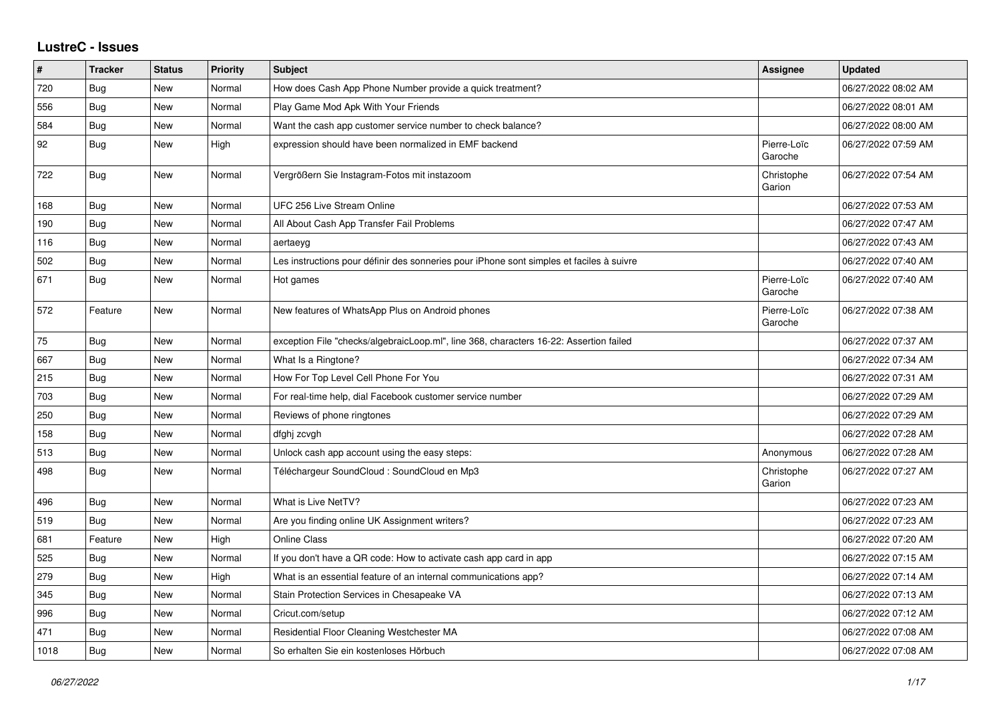## **LustreC - Issues**

| #    | <b>Tracker</b> | <b>Status</b> | <b>Priority</b> | <b>Subject</b>                                                                           | <b>Assignee</b>        | <b>Updated</b>      |
|------|----------------|---------------|-----------------|------------------------------------------------------------------------------------------|------------------------|---------------------|
| 720  | <b>Bug</b>     | New           | Normal          | How does Cash App Phone Number provide a quick treatment?                                |                        | 06/27/2022 08:02 AM |
| 556  | Bug            | New           | Normal          | Play Game Mod Apk With Your Friends                                                      |                        | 06/27/2022 08:01 AM |
| 584  | Bug            | New           | Normal          | Want the cash app customer service number to check balance?                              |                        | 06/27/2022 08:00 AM |
| 92   | <b>Bug</b>     | New           | High            | expression should have been normalized in EMF backend                                    | Pierre-Loïc<br>Garoche | 06/27/2022 07:59 AM |
| 722  | <b>Bug</b>     | <b>New</b>    | Normal          | Vergrößern Sie Instagram-Fotos mit instazoom                                             | Christophe<br>Garion   | 06/27/2022 07:54 AM |
| 168  | Bug            | New           | Normal          | UFC 256 Live Stream Online                                                               |                        | 06/27/2022 07:53 AM |
| 190  | Bug            | New           | Normal          | All About Cash App Transfer Fail Problems                                                |                        | 06/27/2022 07:47 AM |
| 116  | Bug            | <b>New</b>    | Normal          | aertaeyg                                                                                 |                        | 06/27/2022 07:43 AM |
| 502  | Bug            | New           | Normal          | Les instructions pour définir des sonneries pour iPhone sont simples et faciles à suivre |                        | 06/27/2022 07:40 AM |
| 671  | Bug            | New           | Normal          | Hot games                                                                                | Pierre-Loïc<br>Garoche | 06/27/2022 07:40 AM |
| 572  | Feature        | <b>New</b>    | Normal          | New features of WhatsApp Plus on Android phones                                          | Pierre-Loïc<br>Garoche | 06/27/2022 07:38 AM |
| 75   | <b>Bug</b>     | New           | Normal          | exception File "checks/algebraicLoop.ml", line 368, characters 16-22: Assertion failed   |                        | 06/27/2022 07:37 AM |
| 667  | Bug            | New           | Normal          | What Is a Ringtone?                                                                      |                        | 06/27/2022 07:34 AM |
| 215  | Bug            | New           | Normal          | How For Top Level Cell Phone For You                                                     |                        | 06/27/2022 07:31 AM |
| 703  | Bug            | New           | Normal          | For real-time help, dial Facebook customer service number                                |                        | 06/27/2022 07:29 AM |
| 250  | Bug            | New           | Normal          | Reviews of phone ringtones                                                               |                        | 06/27/2022 07:29 AM |
| 158  | Bug            | New           | Normal          | dfghj zcvgh                                                                              |                        | 06/27/2022 07:28 AM |
| 513  | Bug            | New           | Normal          | Unlock cash app account using the easy steps:                                            | Anonymous              | 06/27/2022 07:28 AM |
| 498  | Bug            | New           | Normal          | Téléchargeur SoundCloud : SoundCloud en Mp3                                              | Christophe<br>Garion   | 06/27/2022 07:27 AM |
| 496  | Bug            | New           | Normal          | What is Live NetTV?                                                                      |                        | 06/27/2022 07:23 AM |
| 519  | <b>Bug</b>     | New           | Normal          | Are you finding online UK Assignment writers?                                            |                        | 06/27/2022 07:23 AM |
| 681  | Feature        | New           | High            | <b>Online Class</b>                                                                      |                        | 06/27/2022 07:20 AM |
| 525  | Bug            | New           | Normal          | If you don't have a QR code: How to activate cash app card in app                        |                        | 06/27/2022 07:15 AM |
| 279  | Bug            | New           | High            | What is an essential feature of an internal communications app?                          |                        | 06/27/2022 07:14 AM |
| 345  | <b>Bug</b>     | New           | Normal          | Stain Protection Services in Chesapeake VA                                               |                        | 06/27/2022 07:13 AM |
| 996  | Bug            | New           | Normal          | Cricut.com/setup                                                                         |                        | 06/27/2022 07:12 AM |
| 471  | Bug            | <b>New</b>    | Normal          | Residential Floor Cleaning Westchester MA                                                |                        | 06/27/2022 07:08 AM |
| 1018 | Bug            | New           | Normal          | So erhalten Sie ein kostenloses Hörbuch                                                  |                        | 06/27/2022 07:08 AM |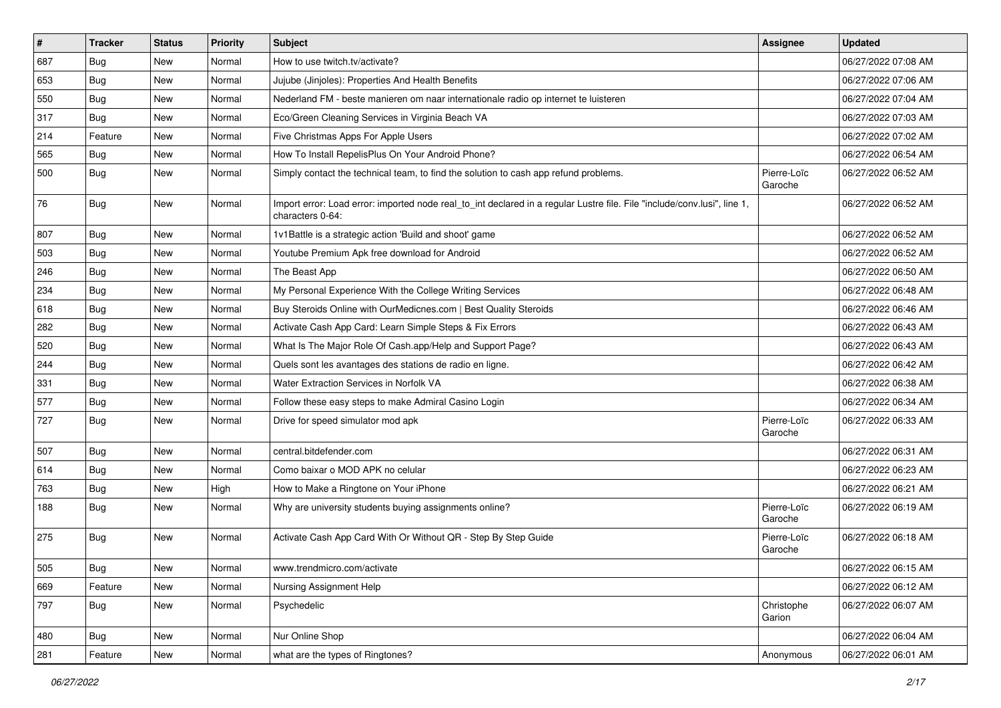| $\vert$ # | <b>Tracker</b> | <b>Status</b> | <b>Priority</b> | <b>Subject</b>                                                                                                                               | Assignee               | <b>Updated</b>      |
|-----------|----------------|---------------|-----------------|----------------------------------------------------------------------------------------------------------------------------------------------|------------------------|---------------------|
| 687       | <b>Bug</b>     | New           | Normal          | How to use twitch.tv/activate?                                                                                                               |                        | 06/27/2022 07:08 AM |
| 653       | <b>Bug</b>     | <b>New</b>    | Normal          | Jujube (Jinjoles): Properties And Health Benefits                                                                                            |                        | 06/27/2022 07:06 AM |
| 550       | Bug            | New           | Normal          | Nederland FM - beste manieren om naar internationale radio op internet te luisteren                                                          |                        | 06/27/2022 07:04 AM |
| 317       | <b>Bug</b>     | <b>New</b>    | Normal          | Eco/Green Cleaning Services in Virginia Beach VA                                                                                             |                        | 06/27/2022 07:03 AM |
| 214       | Feature        | New           | Normal          | Five Christmas Apps For Apple Users                                                                                                          |                        | 06/27/2022 07:02 AM |
| 565       | <b>Bug</b>     | New           | Normal          | How To Install RepelisPlus On Your Android Phone?                                                                                            |                        | 06/27/2022 06:54 AM |
| 500       | <b>Bug</b>     | New           | Normal          | Simply contact the technical team, to find the solution to cash app refund problems.                                                         | Pierre-Loïc<br>Garoche | 06/27/2022 06:52 AM |
| 76        | <b>Bug</b>     | New           | Normal          | Import error: Load error: imported node real_to_int declared in a regular Lustre file. File "include/conv.lusi", line 1,<br>characters 0-64: |                        | 06/27/2022 06:52 AM |
| 807       | Bug            | New           | Normal          | 1v1Battle is a strategic action 'Build and shoot' game                                                                                       |                        | 06/27/2022 06:52 AM |
| 503       | <b>Bug</b>     | <b>New</b>    | Normal          | Youtube Premium Apk free download for Android                                                                                                |                        | 06/27/2022 06:52 AM |
| 246       | Bug            | <b>New</b>    | Normal          | The Beast App                                                                                                                                |                        | 06/27/2022 06:50 AM |
| 234       | <b>Bug</b>     | New           | Normal          | My Personal Experience With the College Writing Services                                                                                     |                        | 06/27/2022 06:48 AM |
| 618       | Bug            | New           | Normal          | Buy Steroids Online with OurMedicnes.com   Best Quality Steroids                                                                             |                        | 06/27/2022 06:46 AM |
| 282       | Bug            | New           | Normal          | Activate Cash App Card: Learn Simple Steps & Fix Errors                                                                                      |                        | 06/27/2022 06:43 AM |
| 520       | <b>Bug</b>     | New           | Normal          | What Is The Major Role Of Cash.app/Help and Support Page?                                                                                    |                        | 06/27/2022 06:43 AM |
| 244       | Bug            | <b>New</b>    | Normal          | Quels sont les avantages des stations de radio en ligne.                                                                                     |                        | 06/27/2022 06:42 AM |
| 331       | Bug            | New           | Normal          | Water Extraction Services in Norfolk VA                                                                                                      |                        | 06/27/2022 06:38 AM |
| 577       | Bug            | New           | Normal          | Follow these easy steps to make Admiral Casino Login                                                                                         |                        | 06/27/2022 06:34 AM |
| 727       | Bug            | New           | Normal          | Drive for speed simulator mod apk                                                                                                            | Pierre-Loïc<br>Garoche | 06/27/2022 06:33 AM |
| 507       | Bug            | <b>New</b>    | Normal          | central.bitdefender.com                                                                                                                      |                        | 06/27/2022 06:31 AM |
| 614       | Bug            | New           | Normal          | Como baixar o MOD APK no celular                                                                                                             |                        | 06/27/2022 06:23 AM |
| 763       | <b>Bug</b>     | New           | High            | How to Make a Ringtone on Your iPhone                                                                                                        |                        | 06/27/2022 06:21 AM |
| 188       | <b>Bug</b>     | New           | Normal          | Why are university students buying assignments online?                                                                                       | Pierre-Loïc<br>Garoche | 06/27/2022 06:19 AM |
| 275       | Bug            | New           | Normal          | Activate Cash App Card With Or Without QR - Step By Step Guide                                                                               | Pierre-Loïc<br>Garoche | 06/27/2022 06:18 AM |
| 505       | Bug            | New           | Normal          | www.trendmicro.com/activate                                                                                                                  |                        | 06/27/2022 06:15 AM |
| 669       | Feature        | New           | Normal          | Nursing Assignment Help                                                                                                                      |                        | 06/27/2022 06:12 AM |
| 797       | <b>Bug</b>     | New           | Normal          | Psychedelic                                                                                                                                  | Christophe<br>Garion   | 06/27/2022 06:07 AM |
| 480       | <b>Bug</b>     | New           | Normal          | Nur Online Shop                                                                                                                              |                        | 06/27/2022 06:04 AM |
| 281       | Feature        | New           | Normal          | what are the types of Ringtones?                                                                                                             | Anonymous              | 06/27/2022 06:01 AM |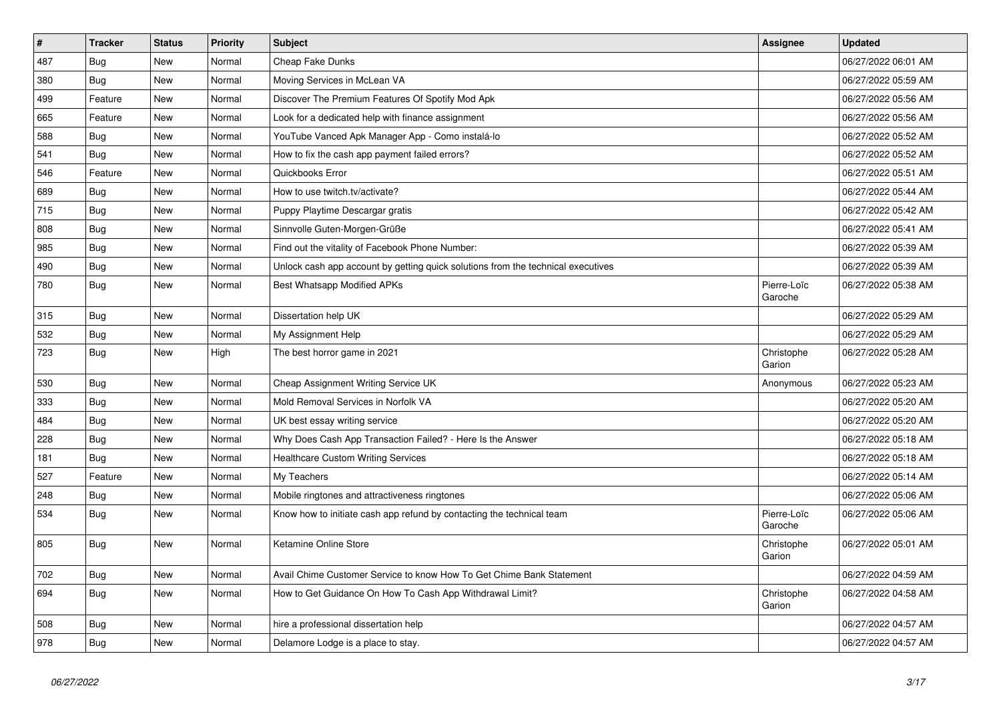| $\vert$ # | <b>Tracker</b> | <b>Status</b> | Priority | <b>Subject</b>                                                                   | Assignee               | <b>Updated</b>      |
|-----------|----------------|---------------|----------|----------------------------------------------------------------------------------|------------------------|---------------------|
| 487       | Bug            | <b>New</b>    | Normal   | Cheap Fake Dunks                                                                 |                        | 06/27/2022 06:01 AM |
| 380       | <b>Bug</b>     | New           | Normal   | Moving Services in McLean VA                                                     |                        | 06/27/2022 05:59 AM |
| 499       | Feature        | <b>New</b>    | Normal   | Discover The Premium Features Of Spotify Mod Apk                                 |                        | 06/27/2022 05:56 AM |
| 665       | Feature        | New           | Normal   | Look for a dedicated help with finance assignment                                |                        | 06/27/2022 05:56 AM |
| 588       | Bug            | New           | Normal   | YouTube Vanced Apk Manager App - Como instalá-lo                                 |                        | 06/27/2022 05:52 AM |
| 541       | <b>Bug</b>     | New           | Normal   | How to fix the cash app payment failed errors?                                   |                        | 06/27/2022 05:52 AM |
| 546       | Feature        | <b>New</b>    | Normal   | Quickbooks Error                                                                 |                        | 06/27/2022 05:51 AM |
| 689       | Bug            | New           | Normal   | How to use twitch.tv/activate?                                                   |                        | 06/27/2022 05:44 AM |
| 715       | Bug            | New           | Normal   | Puppy Playtime Descargar gratis                                                  |                        | 06/27/2022 05:42 AM |
| 808       | <b>Bug</b>     | <b>New</b>    | Normal   | Sinnvolle Guten-Morgen-Grüße                                                     |                        | 06/27/2022 05:41 AM |
| 985       | Bug            | New           | Normal   | Find out the vitality of Facebook Phone Number:                                  |                        | 06/27/2022 05:39 AM |
| 490       | <b>Bug</b>     | New           | Normal   | Unlock cash app account by getting quick solutions from the technical executives |                        | 06/27/2022 05:39 AM |
| 780       | Bug            | New           | Normal   | Best Whatsapp Modified APKs                                                      | Pierre-Loïc<br>Garoche | 06/27/2022 05:38 AM |
| 315       | Bug            | <b>New</b>    | Normal   | Dissertation help UK                                                             |                        | 06/27/2022 05:29 AM |
| 532       | Bug            | New           | Normal   | My Assignment Help                                                               |                        | 06/27/2022 05:29 AM |
| 723       | <b>Bug</b>     | <b>New</b>    | High     | The best horror game in 2021                                                     | Christophe<br>Garion   | 06/27/2022 05:28 AM |
| 530       | <b>Bug</b>     | New           | Normal   | Cheap Assignment Writing Service UK                                              | Anonymous              | 06/27/2022 05:23 AM |
| 333       | <b>Bug</b>     | <b>New</b>    | Normal   | Mold Removal Services in Norfolk VA                                              |                        | 06/27/2022 05:20 AM |
| 484       | <b>Bug</b>     | <b>New</b>    | Normal   | UK best essay writing service                                                    |                        | 06/27/2022 05:20 AM |
| 228       | Bug            | New           | Normal   | Why Does Cash App Transaction Failed? - Here Is the Answer                       |                        | 06/27/2022 05:18 AM |
| 181       | Bug            | New           | Normal   | <b>Healthcare Custom Writing Services</b>                                        |                        | 06/27/2022 05:18 AM |
| 527       | Feature        | New           | Normal   | My Teachers                                                                      |                        | 06/27/2022 05:14 AM |
| 248       | <b>Bug</b>     | New           | Normal   | Mobile ringtones and attractiveness ringtones                                    |                        | 06/27/2022 05:06 AM |
| 534       | <b>Bug</b>     | New           | Normal   | Know how to initiate cash app refund by contacting the technical team            | Pierre-Loïc<br>Garoche | 06/27/2022 05:06 AM |
| 805       | Bug            | New           | Normal   | Ketamine Online Store                                                            | Christophe<br>Garion   | 06/27/2022 05:01 AM |
| 702       | <b>Bug</b>     | New           | Normal   | Avail Chime Customer Service to know How To Get Chime Bank Statement             |                        | 06/27/2022 04:59 AM |
| 694       | Bug            | New           | Normal   | How to Get Guidance On How To Cash App Withdrawal Limit?                         | Christophe<br>Garion   | 06/27/2022 04:58 AM |
| 508       | <b>Bug</b>     | New           | Normal   | hire a professional dissertation help                                            |                        | 06/27/2022 04:57 AM |
| 978       | <b>Bug</b>     | New           | Normal   | Delamore Lodge is a place to stay.                                               |                        | 06/27/2022 04:57 AM |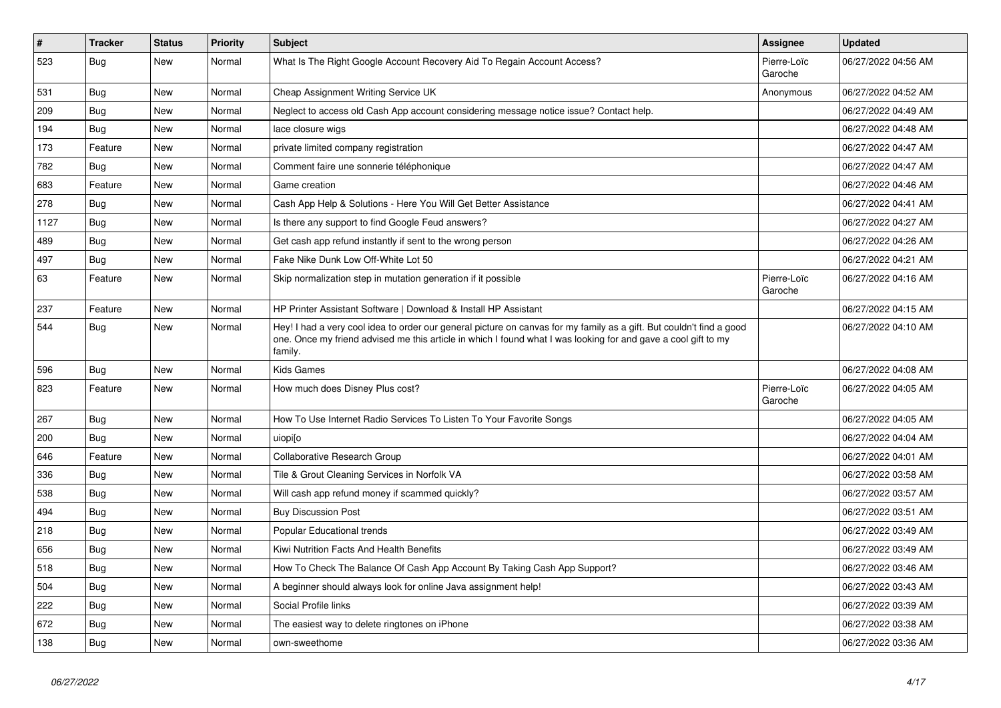| #    | <b>Tracker</b> | <b>Status</b> | <b>Priority</b> | <b>Subject</b>                                                                                                                                                                                                                                    | <b>Assignee</b>        | <b>Updated</b>      |
|------|----------------|---------------|-----------------|---------------------------------------------------------------------------------------------------------------------------------------------------------------------------------------------------------------------------------------------------|------------------------|---------------------|
| 523  | Bug            | <b>New</b>    | Normal          | What Is The Right Google Account Recovery Aid To Regain Account Access?                                                                                                                                                                           | Pierre-Loïc<br>Garoche | 06/27/2022 04:56 AM |
| 531  | Bug            | New           | Normal          | Cheap Assignment Writing Service UK                                                                                                                                                                                                               | Anonymous              | 06/27/2022 04:52 AM |
| 209  | <b>Bug</b>     | <b>New</b>    | Normal          | Neglect to access old Cash App account considering message notice issue? Contact help.                                                                                                                                                            |                        | 06/27/2022 04:49 AM |
| 194  | <b>Bug</b>     | <b>New</b>    | Normal          | lace closure wigs                                                                                                                                                                                                                                 |                        | 06/27/2022 04:48 AM |
| 173  | Feature        | <b>New</b>    | Normal          | private limited company registration                                                                                                                                                                                                              |                        | 06/27/2022 04:47 AM |
| 782  | Bug            | New           | Normal          | Comment faire une sonnerie téléphonique                                                                                                                                                                                                           |                        | 06/27/2022 04:47 AM |
| 683  | Feature        | <b>New</b>    | Normal          | Game creation                                                                                                                                                                                                                                     |                        | 06/27/2022 04:46 AM |
| 278  | <b>Bug</b>     | <b>New</b>    | Normal          | Cash App Help & Solutions - Here You Will Get Better Assistance                                                                                                                                                                                   |                        | 06/27/2022 04:41 AM |
| 1127 | Bug            | <b>New</b>    | Normal          | Is there any support to find Google Feud answers?                                                                                                                                                                                                 |                        | 06/27/2022 04:27 AM |
| 489  | Bug            | <b>New</b>    | Normal          | Get cash app refund instantly if sent to the wrong person                                                                                                                                                                                         |                        | 06/27/2022 04:26 AM |
| 497  | Bug            | <b>New</b>    | Normal          | Fake Nike Dunk Low Off-White Lot 50                                                                                                                                                                                                               |                        | 06/27/2022 04:21 AM |
| 63   | Feature        | <b>New</b>    | Normal          | Skip normalization step in mutation generation if it possible                                                                                                                                                                                     | Pierre-Loïc<br>Garoche | 06/27/2022 04:16 AM |
| 237  | Feature        | New           | Normal          | HP Printer Assistant Software   Download & Install HP Assistant                                                                                                                                                                                   |                        | 06/27/2022 04:15 AM |
| 544  | <b>Bug</b>     | New           | Normal          | Hey! I had a very cool idea to order our general picture on canvas for my family as a gift. But couldn't find a good<br>one. Once my friend advised me this article in which I found what I was looking for and gave a cool gift to my<br>family. |                        | 06/27/2022 04:10 AM |
| 596  | Bug            | <b>New</b>    | Normal          | Kids Games                                                                                                                                                                                                                                        |                        | 06/27/2022 04:08 AM |
| 823  | Feature        | New           | Normal          | How much does Disney Plus cost?                                                                                                                                                                                                                   | Pierre-Loïc<br>Garoche | 06/27/2022 04:05 AM |
| 267  | <b>Bug</b>     | <b>New</b>    | Normal          | How To Use Internet Radio Services To Listen To Your Favorite Songs                                                                                                                                                                               |                        | 06/27/2022 04:05 AM |
| 200  | <b>Bug</b>     | <b>New</b>    | Normal          | uiopilo                                                                                                                                                                                                                                           |                        | 06/27/2022 04:04 AM |
| 646  | Feature        | <b>New</b>    | Normal          | <b>Collaborative Research Group</b>                                                                                                                                                                                                               |                        | 06/27/2022 04:01 AM |
| 336  | Bug            | <b>New</b>    | Normal          | Tile & Grout Cleaning Services in Norfolk VA                                                                                                                                                                                                      |                        | 06/27/2022 03:58 AM |
| 538  | <b>Bug</b>     | <b>New</b>    | Normal          | Will cash app refund money if scammed quickly?                                                                                                                                                                                                    |                        | 06/27/2022 03:57 AM |
| 494  | Bug            | <b>New</b>    | Normal          | <b>Buy Discussion Post</b>                                                                                                                                                                                                                        |                        | 06/27/2022 03:51 AM |
| 218  | <b>Bug</b>     | New           | Normal          | Popular Educational trends                                                                                                                                                                                                                        |                        | 06/27/2022 03:49 AM |
| 656  | Bug            | <b>New</b>    | Normal          | Kiwi Nutrition Facts And Health Benefits                                                                                                                                                                                                          |                        | 06/27/2022 03:49 AM |
| 518  | <b>Bug</b>     | <b>New</b>    | Normal          | How To Check The Balance Of Cash App Account By Taking Cash App Support?                                                                                                                                                                          |                        | 06/27/2022 03:46 AM |
| 504  | Bug            | <b>New</b>    | Normal          | A beginner should always look for online Java assignment help!                                                                                                                                                                                    |                        | 06/27/2022 03:43 AM |
| 222  | Bug            | New           | Normal          | Social Profile links                                                                                                                                                                                                                              |                        | 06/27/2022 03:39 AM |
| 672  | <b>Bug</b>     | <b>New</b>    | Normal          | The easiest way to delete ringtones on iPhone                                                                                                                                                                                                     |                        | 06/27/2022 03:38 AM |
| 138  | Bug            | <b>New</b>    | Normal          | own-sweethome                                                                                                                                                                                                                                     |                        | 06/27/2022 03:36 AM |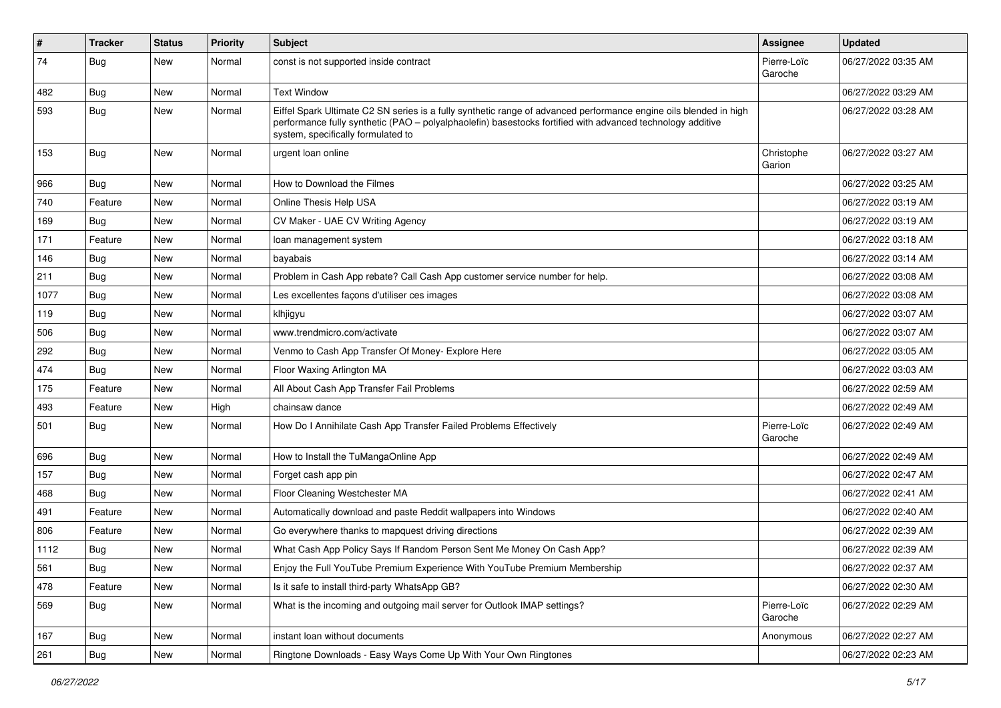| $\vert$ # | <b>Tracker</b> | <b>Status</b> | <b>Priority</b> | Subject                                                                                                                                                                                                                                                               | Assignee               | <b>Updated</b>      |
|-----------|----------------|---------------|-----------------|-----------------------------------------------------------------------------------------------------------------------------------------------------------------------------------------------------------------------------------------------------------------------|------------------------|---------------------|
| 74        | <b>Bug</b>     | New           | Normal          | const is not supported inside contract                                                                                                                                                                                                                                | Pierre-Loïc<br>Garoche | 06/27/2022 03:35 AM |
| 482       | <b>Bug</b>     | New           | Normal          | <b>Text Window</b>                                                                                                                                                                                                                                                    |                        | 06/27/2022 03:29 AM |
| 593       | Bug            | New           | Normal          | Eiffel Spark Ultimate C2 SN series is a fully synthetic range of advanced performance engine oils blended in high<br>performance fully synthetic (PAO - polyalphaolefin) basestocks fortified with advanced technology additive<br>system, specifically formulated to |                        | 06/27/2022 03:28 AM |
| 153       | Bug            | New           | Normal          | urgent loan online                                                                                                                                                                                                                                                    | Christophe<br>Garion   | 06/27/2022 03:27 AM |
| 966       | <b>Bug</b>     | New           | Normal          | How to Download the Filmes                                                                                                                                                                                                                                            |                        | 06/27/2022 03:25 AM |
| 740       | Feature        | New           | Normal          | Online Thesis Help USA                                                                                                                                                                                                                                                |                        | 06/27/2022 03:19 AM |
| 169       | <b>Bug</b>     | New           | Normal          | CV Maker - UAE CV Writing Agency                                                                                                                                                                                                                                      |                        | 06/27/2022 03:19 AM |
| 171       | Feature        | New           | Normal          | loan management system                                                                                                                                                                                                                                                |                        | 06/27/2022 03:18 AM |
| 146       | Bug            | New           | Normal          | bayabais                                                                                                                                                                                                                                                              |                        | 06/27/2022 03:14 AM |
| 211       | <b>Bug</b>     | New           | Normal          | Problem in Cash App rebate? Call Cash App customer service number for help.                                                                                                                                                                                           |                        | 06/27/2022 03:08 AM |
| 1077      | Bug            | New           | Normal          | Les excellentes façons d'utiliser ces images                                                                                                                                                                                                                          |                        | 06/27/2022 03:08 AM |
| 119       | Bug            | New           | Normal          | klhjigyu                                                                                                                                                                                                                                                              |                        | 06/27/2022 03:07 AM |
| 506       | <b>Bug</b>     | New           | Normal          | www.trendmicro.com/activate                                                                                                                                                                                                                                           |                        | 06/27/2022 03:07 AM |
| 292       | Bug            | New           | Normal          | Venmo to Cash App Transfer Of Money- Explore Here                                                                                                                                                                                                                     |                        | 06/27/2022 03:05 AM |
| 474       | <b>Bug</b>     | New           | Normal          | Floor Waxing Arlington MA                                                                                                                                                                                                                                             |                        | 06/27/2022 03:03 AM |
| 175       | Feature        | New           | Normal          | All About Cash App Transfer Fail Problems                                                                                                                                                                                                                             |                        | 06/27/2022 02:59 AM |
| 493       | Feature        | New           | High            | chainsaw dance                                                                                                                                                                                                                                                        |                        | 06/27/2022 02:49 AM |
| 501       | <b>Bug</b>     | New           | Normal          | How Do I Annihilate Cash App Transfer Failed Problems Effectively                                                                                                                                                                                                     | Pierre-Loïc<br>Garoche | 06/27/2022 02:49 AM |
| 696       | Bug            | New           | Normal          | How to Install the TuMangaOnline App                                                                                                                                                                                                                                  |                        | 06/27/2022 02:49 AM |
| 157       | <b>Bug</b>     | <b>New</b>    | Normal          | Forget cash app pin                                                                                                                                                                                                                                                   |                        | 06/27/2022 02:47 AM |
| 468       | Bug            | New           | Normal          | Floor Cleaning Westchester MA                                                                                                                                                                                                                                         |                        | 06/27/2022 02:41 AM |
| 491       | Feature        | New           | Normal          | Automatically download and paste Reddit wallpapers into Windows                                                                                                                                                                                                       |                        | 06/27/2022 02:40 AM |
| 806       | Feature        | New           | Normal          | Go everywhere thanks to mapquest driving directions                                                                                                                                                                                                                   |                        | 06/27/2022 02:39 AM |
| 1112      | <b>Bug</b>     | New           | Normal          | What Cash App Policy Says If Random Person Sent Me Money On Cash App?                                                                                                                                                                                                 |                        | 06/27/2022 02:39 AM |
| 561       | Bug            | New           | Normal          | Enjoy the Full YouTube Premium Experience With YouTube Premium Membership                                                                                                                                                                                             |                        | 06/27/2022 02:37 AM |
| 478       | Feature        | New           | Normal          | Is it safe to install third-party WhatsApp GB?                                                                                                                                                                                                                        |                        | 06/27/2022 02:30 AM |
| 569       | Bug            | New           | Normal          | What is the incoming and outgoing mail server for Outlook IMAP settings?                                                                                                                                                                                              | Pierre-Loïc<br>Garoche | 06/27/2022 02:29 AM |
| 167       | Bug            | New           | Normal          | instant loan without documents                                                                                                                                                                                                                                        | Anonymous              | 06/27/2022 02:27 AM |
| 261       | Bug            | New           | Normal          | Ringtone Downloads - Easy Ways Come Up With Your Own Ringtones                                                                                                                                                                                                        |                        | 06/27/2022 02:23 AM |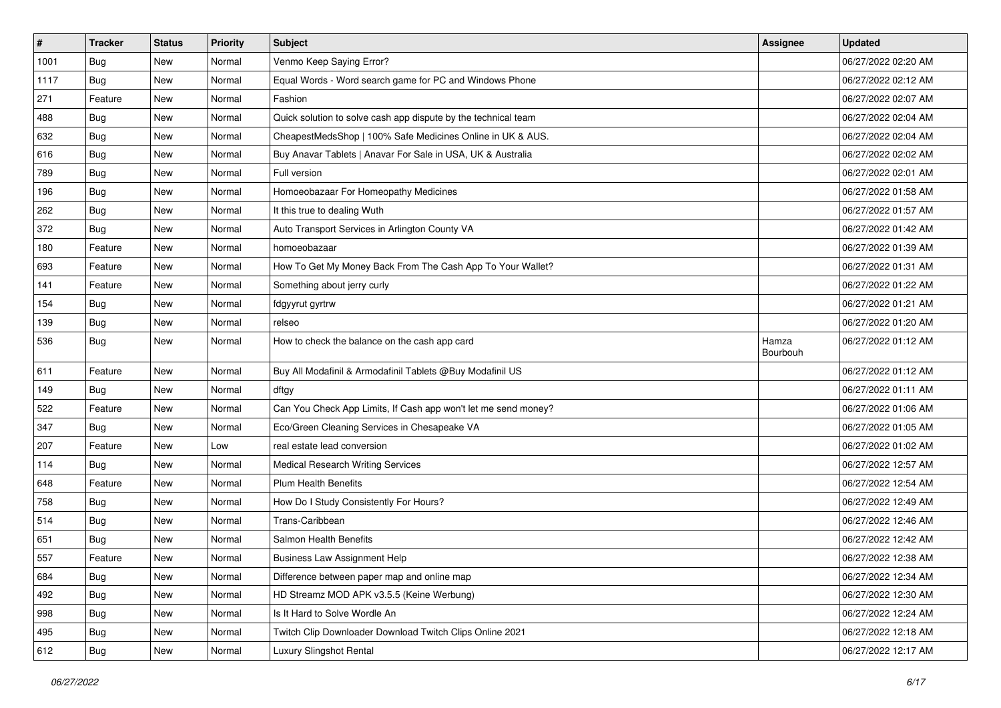| $\vert$ # | <b>Tracker</b> | <b>Status</b> | <b>Priority</b> | Subject                                                        | <b>Assignee</b>   | <b>Updated</b>      |
|-----------|----------------|---------------|-----------------|----------------------------------------------------------------|-------------------|---------------------|
| 1001      | <b>Bug</b>     | New           | Normal          | Venmo Keep Saying Error?                                       |                   | 06/27/2022 02:20 AM |
| 1117      | <b>Bug</b>     | New           | Normal          | Equal Words - Word search game for PC and Windows Phone        |                   | 06/27/2022 02:12 AM |
| 271       | Feature        | New           | Normal          | Fashion                                                        |                   | 06/27/2022 02:07 AM |
| 488       | <b>Bug</b>     | New           | Normal          | Quick solution to solve cash app dispute by the technical team |                   | 06/27/2022 02:04 AM |
| 632       | <b>Bug</b>     | New           | Normal          | CheapestMedsShop   100% Safe Medicines Online in UK & AUS.     |                   | 06/27/2022 02:04 AM |
| 616       | <b>Bug</b>     | New           | Normal          | Buy Anavar Tablets   Anavar For Sale in USA, UK & Australia    |                   | 06/27/2022 02:02 AM |
| 789       | <b>Bug</b>     | New           | Normal          | Full version                                                   |                   | 06/27/2022 02:01 AM |
| 196       | Bug            | New           | Normal          | Homoeobazaar For Homeopathy Medicines                          |                   | 06/27/2022 01:58 AM |
| 262       | <b>Bug</b>     | New           | Normal          | It this true to dealing Wuth                                   |                   | 06/27/2022 01:57 AM |
| 372       | <b>Bug</b>     | New           | Normal          | Auto Transport Services in Arlington County VA                 |                   | 06/27/2022 01:42 AM |
| 180       | Feature        | New           | Normal          | homoeobazaar                                                   |                   | 06/27/2022 01:39 AM |
| 693       | Feature        | New           | Normal          | How To Get My Money Back From The Cash App To Your Wallet?     |                   | 06/27/2022 01:31 AM |
| 141       | Feature        | New           | Normal          | Something about jerry curly                                    |                   | 06/27/2022 01:22 AM |
| 154       | <b>Bug</b>     | New           | Normal          | fdgyyrut gyrtrw                                                |                   | 06/27/2022 01:21 AM |
| 139       | <b>Bug</b>     | New           | Normal          | relseo                                                         |                   | 06/27/2022 01:20 AM |
| 536       | Bug            | New           | Normal          | How to check the balance on the cash app card                  | Hamza<br>Bourbouh | 06/27/2022 01:12 AM |
| 611       | Feature        | New           | Normal          | Buy All Modafinil & Armodafinil Tablets @Buy Modafinil US      |                   | 06/27/2022 01:12 AM |
| 149       | Bug            | New           | Normal          | dftgy                                                          |                   | 06/27/2022 01:11 AM |
| 522       | Feature        | New           | Normal          | Can You Check App Limits, If Cash app won't let me send money? |                   | 06/27/2022 01:06 AM |
| 347       | <b>Bug</b>     | New           | Normal          | Eco/Green Cleaning Services in Chesapeake VA                   |                   | 06/27/2022 01:05 AM |
| 207       | Feature        | New           | Low             | real estate lead conversion                                    |                   | 06/27/2022 01:02 AM |
| 114       | Bug            | New           | Normal          | <b>Medical Research Writing Services</b>                       |                   | 06/27/2022 12:57 AM |
| 648       | Feature        | New           | Normal          | <b>Plum Health Benefits</b>                                    |                   | 06/27/2022 12:54 AM |
| 758       | <b>Bug</b>     | New           | Normal          | How Do I Study Consistently For Hours?                         |                   | 06/27/2022 12:49 AM |
| 514       | Bug            | New           | Normal          | Trans-Caribbean                                                |                   | 06/27/2022 12:46 AM |
| 651       | <b>Bug</b>     | New           | Normal          | Salmon Health Benefits                                         |                   | 06/27/2022 12:42 AM |
| 557       | Feature        | New           | Normal          | <b>Business Law Assignment Help</b>                            |                   | 06/27/2022 12:38 AM |
| 684       | <b>Bug</b>     | New           | Normal          | Difference between paper map and online map                    |                   | 06/27/2022 12:34 AM |
| 492       | Bug            | New           | Normal          | HD Streamz MOD APK v3.5.5 (Keine Werbung)                      |                   | 06/27/2022 12:30 AM |
| 998       | Bug            | New           | Normal          | Is It Hard to Solve Wordle An                                  |                   | 06/27/2022 12:24 AM |
| 495       | <b>Bug</b>     | New           | Normal          | Twitch Clip Downloader Download Twitch Clips Online 2021       |                   | 06/27/2022 12:18 AM |
| 612       | Bug            | New           | Normal          | Luxury Slingshot Rental                                        |                   | 06/27/2022 12:17 AM |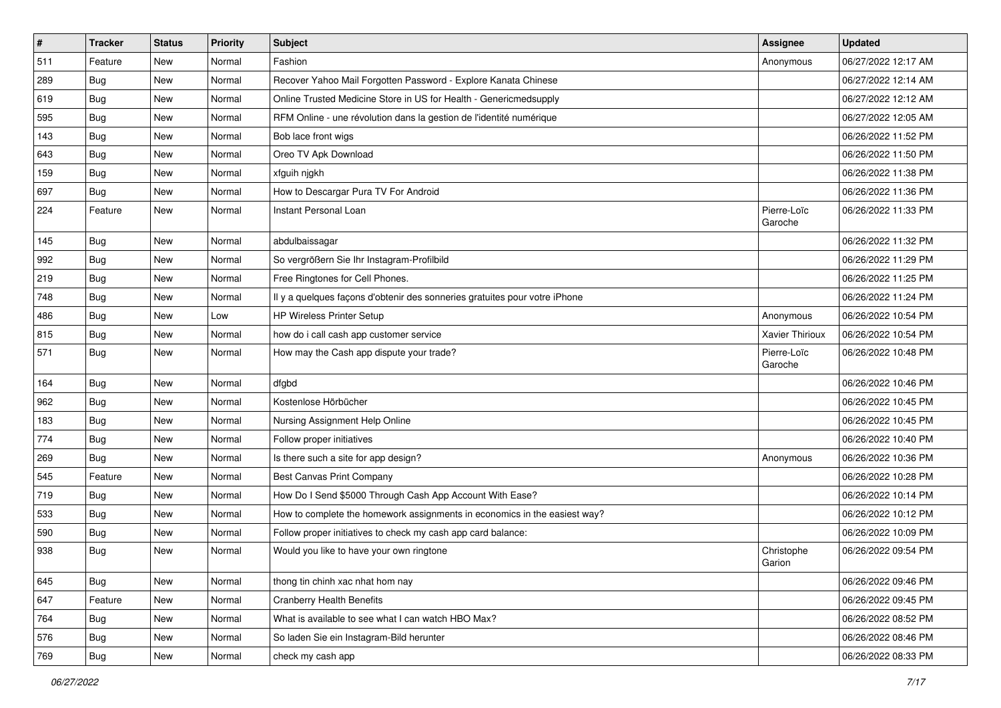| $\vert$ # | <b>Tracker</b> | <b>Status</b> | Priority | <b>Subject</b>                                                             | <b>Assignee</b>        | <b>Updated</b>      |
|-----------|----------------|---------------|----------|----------------------------------------------------------------------------|------------------------|---------------------|
| 511       | Feature        | New           | Normal   | Fashion                                                                    | Anonymous              | 06/27/2022 12:17 AM |
| 289       | <b>Bug</b>     | New           | Normal   | Recover Yahoo Mail Forgotten Password - Explore Kanata Chinese             |                        | 06/27/2022 12:14 AM |
| 619       | Bug            | <b>New</b>    | Normal   | Online Trusted Medicine Store in US for Health - Genericmedsupply          |                        | 06/27/2022 12:12 AM |
| 595       | Bug            | New           | Normal   | RFM Online - une révolution dans la gestion de l'identité numérique        |                        | 06/27/2022 12:05 AM |
| 143       | Bug            | <b>New</b>    | Normal   | Bob lace front wigs                                                        |                        | 06/26/2022 11:52 PM |
| 643       | Bug            | New           | Normal   | Oreo TV Apk Download                                                       |                        | 06/26/2022 11:50 PM |
| 159       | <b>Bug</b>     | New           | Normal   | xfguih njgkh                                                               |                        | 06/26/2022 11:38 PM |
| 697       | Bug            | New           | Normal   | How to Descargar Pura TV For Android                                       |                        | 06/26/2022 11:36 PM |
| 224       | Feature        | New           | Normal   | Instant Personal Loan                                                      | Pierre-Loïc<br>Garoche | 06/26/2022 11:33 PM |
| 145       | Bug            | <b>New</b>    | Normal   | abdulbaissagar                                                             |                        | 06/26/2022 11:32 PM |
| 992       | Bug            | New           | Normal   | So vergrößern Sie Ihr Instagram-Profilbild                                 |                        | 06/26/2022 11:29 PM |
| 219       | Bug            | New           | Normal   | Free Ringtones for Cell Phones.                                            |                        | 06/26/2022 11:25 PM |
| 748       | <b>Bug</b>     | New           | Normal   | Il y a quelques façons d'obtenir des sonneries gratuites pour votre iPhone |                        | 06/26/2022 11:24 PM |
| 486       | Bug            | New           | Low      | HP Wireless Printer Setup                                                  | Anonymous              | 06/26/2022 10:54 PM |
| 815       | Bug            | New           | Normal   | how do i call cash app customer service                                    | <b>Xavier Thirioux</b> | 06/26/2022 10:54 PM |
| 571       | Bug            | New           | Normal   | How may the Cash app dispute your trade?                                   | Pierre-Loïc<br>Garoche | 06/26/2022 10:48 PM |
| 164       | Bug            | New           | Normal   | dfgbd                                                                      |                        | 06/26/2022 10:46 PM |
| 962       | <b>Bug</b>     | New           | Normal   | Kostenlose Hörbücher                                                       |                        | 06/26/2022 10:45 PM |
| 183       | Bug            | New           | Normal   | Nursing Assignment Help Online                                             |                        | 06/26/2022 10:45 PM |
| 774       | <b>Bug</b>     | New           | Normal   | Follow proper initiatives                                                  |                        | 06/26/2022 10:40 PM |
| 269       | <b>Bug</b>     | New           | Normal   | Is there such a site for app design?                                       | Anonymous              | 06/26/2022 10:36 PM |
| 545       | Feature        | <b>New</b>    | Normal   | Best Canvas Print Company                                                  |                        | 06/26/2022 10:28 PM |
| 719       | Bug            | New           | Normal   | How Do I Send \$5000 Through Cash App Account With Ease?                   |                        | 06/26/2022 10:14 PM |
| 533       | Bug            | New           | Normal   | How to complete the homework assignments in economics in the easiest way?  |                        | 06/26/2022 10:12 PM |
| 590       | <b>Bug</b>     | New           | Normal   | Follow proper initiatives to check my cash app card balance:               |                        | 06/26/2022 10:09 PM |
| 938       | Bug            | New           | Normal   | Would you like to have your own ringtone                                   | Christophe<br>Garion   | 06/26/2022 09:54 PM |
| 645       | Bug            | New           | Normal   | thong tin chinh xac nhat hom nay                                           |                        | 06/26/2022 09:46 PM |
| 647       | Feature        | New           | Normal   | <b>Cranberry Health Benefits</b>                                           |                        | 06/26/2022 09:45 PM |
| 764       | Bug            | New           | Normal   | What is available to see what I can watch HBO Max?                         |                        | 06/26/2022 08:52 PM |
| 576       | Bug            | New           | Normal   | So laden Sie ein Instagram-Bild herunter                                   |                        | 06/26/2022 08:46 PM |
| 769       | Bug            | New           | Normal   | check my cash app                                                          |                        | 06/26/2022 08:33 PM |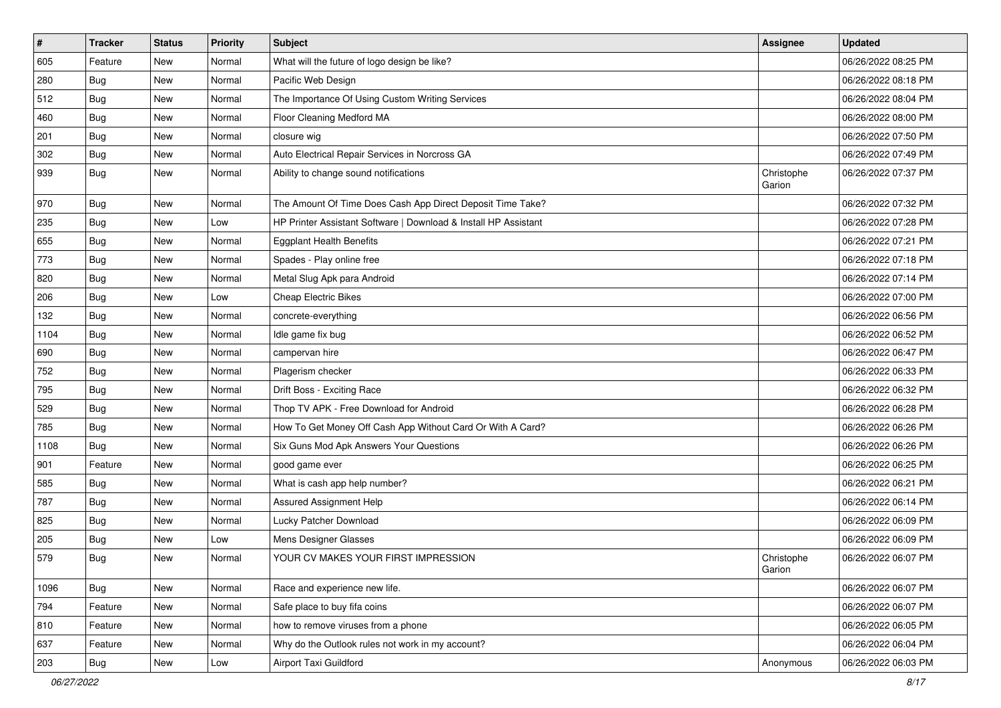| $\sharp$ | <b>Tracker</b> | <b>Status</b> | <b>Priority</b> | Subject                                                         | Assignee             | <b>Updated</b>      |
|----------|----------------|---------------|-----------------|-----------------------------------------------------------------|----------------------|---------------------|
| 605      | Feature        | New           | Normal          | What will the future of logo design be like?                    |                      | 06/26/2022 08:25 PM |
| 280      | Bug            | New           | Normal          | Pacific Web Design                                              |                      | 06/26/2022 08:18 PM |
| 512      | Bug            | New           | Normal          | The Importance Of Using Custom Writing Services                 |                      | 06/26/2022 08:04 PM |
| 460      | <b>Bug</b>     | <b>New</b>    | Normal          | Floor Cleaning Medford MA                                       |                      | 06/26/2022 08:00 PM |
| 201      | Bug            | New           | Normal          | closure wig                                                     |                      | 06/26/2022 07:50 PM |
| 302      | <b>Bug</b>     | New           | Normal          | Auto Electrical Repair Services in Norcross GA                  |                      | 06/26/2022 07:49 PM |
| 939      | <b>Bug</b>     | New           | Normal          | Ability to change sound notifications                           | Christophe<br>Garion | 06/26/2022 07:37 PM |
| 970      | Bug            | <b>New</b>    | Normal          | The Amount Of Time Does Cash App Direct Deposit Time Take?      |                      | 06/26/2022 07:32 PM |
| 235      | <b>Bug</b>     | <b>New</b>    | Low             | HP Printer Assistant Software   Download & Install HP Assistant |                      | 06/26/2022 07:28 PM |
| 655      | Bug            | New           | Normal          | <b>Eggplant Health Benefits</b>                                 |                      | 06/26/2022 07:21 PM |
| 773      | <b>Bug</b>     | New           | Normal          | Spades - Play online free                                       |                      | 06/26/2022 07:18 PM |
| 820      | Bug            | <b>New</b>    | Normal          | Metal Slug Apk para Android                                     |                      | 06/26/2022 07:14 PM |
| 206      | Bug            | New           | Low             | <b>Cheap Electric Bikes</b>                                     |                      | 06/26/2022 07:00 PM |
| 132      | <b>Bug</b>     | New           | Normal          | concrete-everything                                             |                      | 06/26/2022 06:56 PM |
| 1104     | <b>Bug</b>     | New           | Normal          | Idle game fix bug                                               |                      | 06/26/2022 06:52 PM |
| 690      | <b>Bug</b>     | <b>New</b>    | Normal          | campervan hire                                                  |                      | 06/26/2022 06:47 PM |
| 752      | Bug            | New           | Normal          | Plagerism checker                                               |                      | 06/26/2022 06:33 PM |
| 795      | <b>Bug</b>     | New           | Normal          | Drift Boss - Exciting Race                                      |                      | 06/26/2022 06:32 PM |
| 529      | Bug            | New           | Normal          | Thop TV APK - Free Download for Android                         |                      | 06/26/2022 06:28 PM |
| 785      | Bug            | New           | Normal          | How To Get Money Off Cash App Without Card Or With A Card?      |                      | 06/26/2022 06:26 PM |
| 1108     | Bug            | New           | Normal          | Six Guns Mod Apk Answers Your Questions                         |                      | 06/26/2022 06:26 PM |
| 901      | Feature        | New           | Normal          | good game ever                                                  |                      | 06/26/2022 06:25 PM |
| 585      | Bug            | New           | Normal          | What is cash app help number?                                   |                      | 06/26/2022 06:21 PM |
| 787      | <b>Bug</b>     | New           | Normal          | Assured Assignment Help                                         |                      | 06/26/2022 06:14 PM |
| 825      | <b>Bug</b>     | <b>New</b>    | Normal          | Lucky Patcher Download                                          |                      | 06/26/2022 06:09 PM |
| 205      | <b>Bug</b>     | New           | Low             | Mens Designer Glasses                                           |                      | 06/26/2022 06:09 PM |
| 579      | <b>Bug</b>     | <b>New</b>    | Normal          | YOUR CV MAKES YOUR FIRST IMPRESSION                             | Christophe<br>Garion | 06/26/2022 06:07 PM |
| 1096     | Bug            | New           | Normal          | Race and experience new life.                                   |                      | 06/26/2022 06:07 PM |
| 794      | Feature        | New           | Normal          | Safe place to buy fifa coins                                    |                      | 06/26/2022 06:07 PM |
| 810      | Feature        | New           | Normal          | how to remove viruses from a phone                              |                      | 06/26/2022 06:05 PM |
| 637      | Feature        | New           | Normal          | Why do the Outlook rules not work in my account?                |                      | 06/26/2022 06:04 PM |
| 203      | <b>Bug</b>     | New           | Low             | Airport Taxi Guildford                                          | Anonymous            | 06/26/2022 06:03 PM |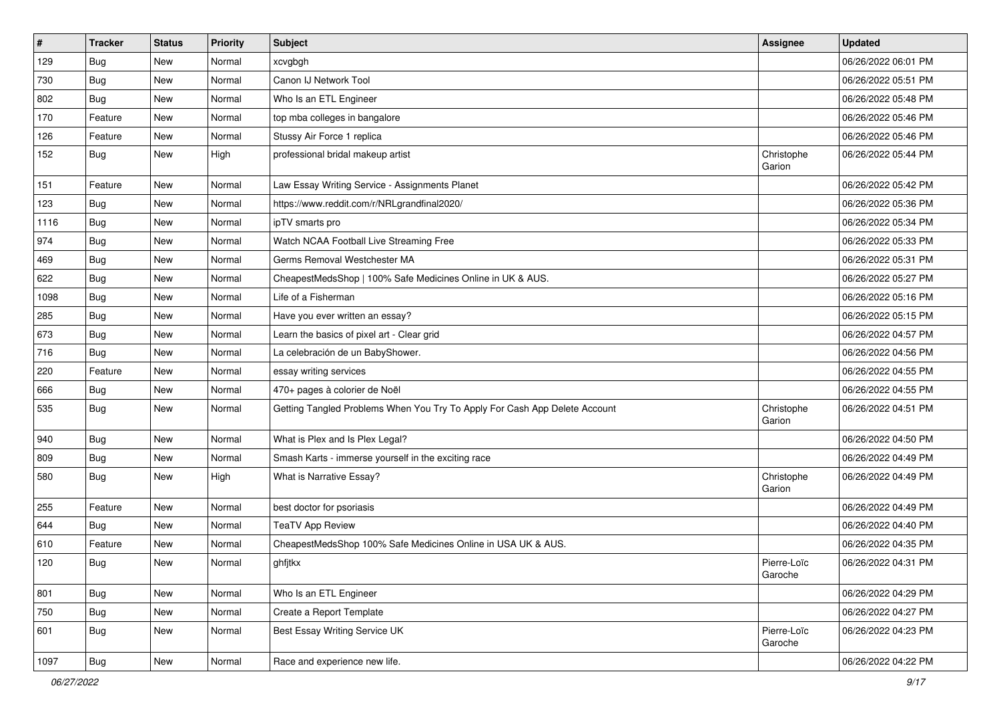| $\vert$ #     | <b>Tracker</b> | <b>Status</b> | <b>Priority</b> | <b>Subject</b>                                                             | <b>Assignee</b>        | <b>Updated</b>      |
|---------------|----------------|---------------|-----------------|----------------------------------------------------------------------------|------------------------|---------------------|
| 129           | <b>Bug</b>     | New           | Normal          | xcvgbgh                                                                    |                        | 06/26/2022 06:01 PM |
| 730           | Bug            | New           | Normal          | Canon IJ Network Tool                                                      |                        | 06/26/2022 05:51 PM |
| 802           | Bug            | New           | Normal          | Who Is an ETL Engineer                                                     |                        | 06/26/2022 05:48 PM |
| 170           | Feature        | New           | Normal          | top mba colleges in bangalore                                              |                        | 06/26/2022 05:46 PM |
| 126           | Feature        | New           | Normal          | Stussy Air Force 1 replica                                                 |                        | 06/26/2022 05:46 PM |
| 152           | Bug            | New           | High            | professional bridal makeup artist                                          | Christophe<br>Garion   | 06/26/2022 05:44 PM |
| 151           | Feature        | New           | Normal          | Law Essay Writing Service - Assignments Planet                             |                        | 06/26/2022 05:42 PM |
| 123           | Bug            | New           | Normal          | https://www.reddit.com/r/NRLgrandfinal2020/                                |                        | 06/26/2022 05:36 PM |
| 1116          | Bug            | New           | Normal          | ipTV smarts pro                                                            |                        | 06/26/2022 05:34 PM |
| 974           | Bug            | New           | Normal          | Watch NCAA Football Live Streaming Free                                    |                        | 06/26/2022 05:33 PM |
| 469           | <b>Bug</b>     | New           | Normal          | Germs Removal Westchester MA                                               |                        | 06/26/2022 05:31 PM |
| 622           | Bug            | New           | Normal          | CheapestMedsShop   100% Safe Medicines Online in UK & AUS.                 |                        | 06/26/2022 05:27 PM |
| 1098          | <b>Bug</b>     | New           | Normal          | Life of a Fisherman                                                        |                        | 06/26/2022 05:16 PM |
| 285           | Bug            | New           | Normal          | Have you ever written an essay?                                            |                        | 06/26/2022 05:15 PM |
| 673           | Bug            | New           | Normal          | Learn the basics of pixel art - Clear grid                                 |                        | 06/26/2022 04:57 PM |
| 716           | <b>Bug</b>     | New           | Normal          | La celebración de un BabyShower.                                           |                        | 06/26/2022 04:56 PM |
| 220           | Feature        | New           | Normal          | essay writing services                                                     |                        | 06/26/2022 04:55 PM |
| 666           | Bug            | New           | Normal          | 470+ pages à colorier de Noël                                              |                        | 06/26/2022 04:55 PM |
| 535           | Bug            | New           | Normal          | Getting Tangled Problems When You Try To Apply For Cash App Delete Account | Christophe<br>Garion   | 06/26/2022 04:51 PM |
| $ 940\rangle$ | Bug            | New           | Normal          | What is Plex and Is Plex Legal?                                            |                        | 06/26/2022 04:50 PM |
| 809           | Bug            | New           | Normal          | Smash Karts - immerse yourself in the exciting race                        |                        | 06/26/2022 04:49 PM |
| 580           | Bug            | New           | High            | What is Narrative Essay?                                                   | Christophe<br>Garion   | 06/26/2022 04:49 PM |
| 255           | Feature        | New           | Normal          | best doctor for psoriasis                                                  |                        | 06/26/2022 04:49 PM |
| 644           | <b>Bug</b>     | New           | Normal          | <b>TeaTV App Review</b>                                                    |                        | 06/26/2022 04:40 PM |
| 610           | Feature        | New           | Normal          | CheapestMedsShop 100% Safe Medicines Online in USA UK & AUS.               |                        | 06/26/2022 04:35 PM |
| 120           | Bug            | New           | Normal          | ghfjtkx                                                                    | Pierre-Loïc<br>Garoche | 06/26/2022 04:31 PM |
| 801           | Bug            | New           | Normal          | Who Is an ETL Engineer                                                     |                        | 06/26/2022 04:29 PM |
| 750           | Bug            | New           | Normal          | Create a Report Template                                                   |                        | 06/26/2022 04:27 PM |
| 601           | Bug            | New           | Normal          | Best Essay Writing Service UK                                              | Pierre-Loïc<br>Garoche | 06/26/2022 04:23 PM |
| 1097          | Bug            | New           | Normal          | Race and experience new life.                                              |                        | 06/26/2022 04:22 PM |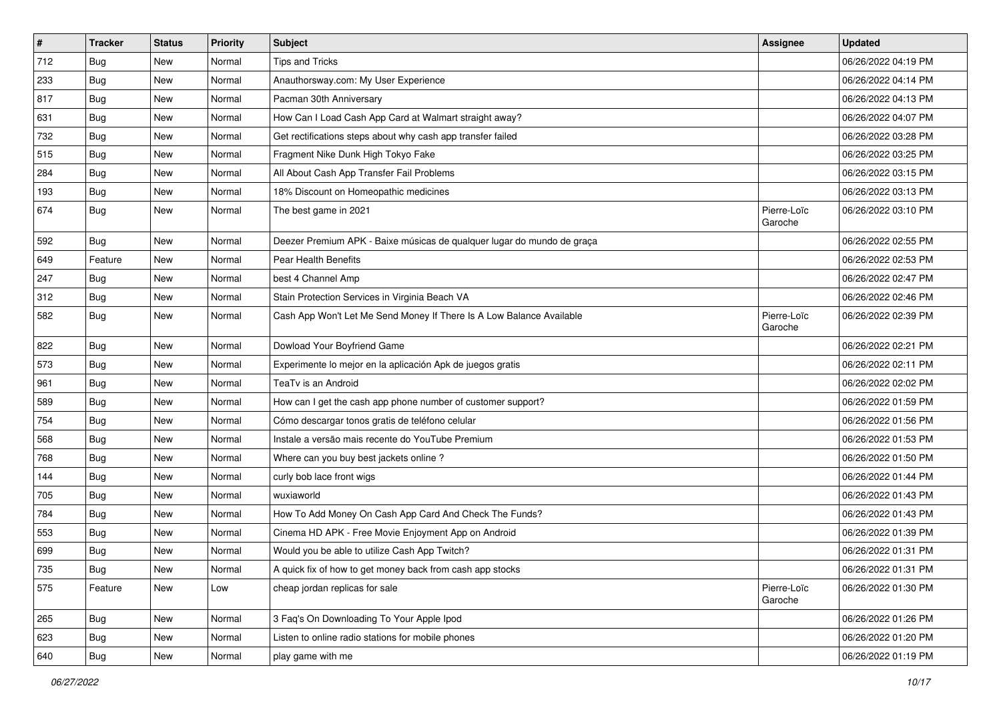| $\vert$ # | <b>Tracker</b> | <b>Status</b> | <b>Priority</b> | Subject                                                                | Assignee               | <b>Updated</b>      |
|-----------|----------------|---------------|-----------------|------------------------------------------------------------------------|------------------------|---------------------|
| 712       | <b>Bug</b>     | New           | Normal          | <b>Tips and Tricks</b>                                                 |                        | 06/26/2022 04:19 PM |
| 233       | <b>Bug</b>     | New           | Normal          | Anauthorsway.com: My User Experience                                   |                        | 06/26/2022 04:14 PM |
| 817       | <b>Bug</b>     | New           | Normal          | Pacman 30th Anniversary                                                |                        | 06/26/2022 04:13 PM |
| 631       | <b>Bug</b>     | New           | Normal          | How Can I Load Cash App Card at Walmart straight away?                 |                        | 06/26/2022 04:07 PM |
| 732       | <b>Bug</b>     | New           | Normal          | Get rectifications steps about why cash app transfer failed            |                        | 06/26/2022 03:28 PM |
| 515       | <b>Bug</b>     | New           | Normal          | Fragment Nike Dunk High Tokyo Fake                                     |                        | 06/26/2022 03:25 PM |
| 284       | <b>Bug</b>     | New           | Normal          | All About Cash App Transfer Fail Problems                              |                        | 06/26/2022 03:15 PM |
| 193       | Bug            | New           | Normal          | 18% Discount on Homeopathic medicines                                  |                        | 06/26/2022 03:13 PM |
| 674       | <b>Bug</b>     | New           | Normal          | The best game in 2021                                                  | Pierre-Loïc<br>Garoche | 06/26/2022 03:10 PM |
| 592       | Bug            | New           | Normal          | Deezer Premium APK - Baixe músicas de qualquer lugar do mundo de graça |                        | 06/26/2022 02:55 PM |
| 649       | Feature        | <b>New</b>    | Normal          | Pear Health Benefits                                                   |                        | 06/26/2022 02:53 PM |
| 247       | Bug            | New           | Normal          | best 4 Channel Amp                                                     |                        | 06/26/2022 02:47 PM |
| 312       | <b>Bug</b>     | New           | Normal          | Stain Protection Services in Virginia Beach VA                         |                        | 06/26/2022 02:46 PM |
| 582       | <b>Bug</b>     | New           | Normal          | Cash App Won't Let Me Send Money If There Is A Low Balance Available   | Pierre-Loïc<br>Garoche | 06/26/2022 02:39 PM |
| 822       | <b>Bug</b>     | New           | Normal          | Dowload Your Boyfriend Game                                            |                        | 06/26/2022 02:21 PM |
| 573       | Bug            | New           | Normal          | Experimente lo mejor en la aplicación Apk de juegos gratis             |                        | 06/26/2022 02:11 PM |
| 961       | <b>Bug</b>     | New           | Normal          | TeaTv is an Android                                                    |                        | 06/26/2022 02:02 PM |
| 589       | <b>Bug</b>     | New           | Normal          | How can I get the cash app phone number of customer support?           |                        | 06/26/2022 01:59 PM |
| 754       | Bug            | New           | Normal          | Cómo descargar tonos gratis de teléfono celular                        |                        | 06/26/2022 01:56 PM |
| 568       | <b>Bug</b>     | New           | Normal          | Instale a versão mais recente do YouTube Premium                       |                        | 06/26/2022 01:53 PM |
| 768       | <b>Bug</b>     | New           | Normal          | Where can you buy best jackets online?                                 |                        | 06/26/2022 01:50 PM |
| 144       | <b>Bug</b>     | New           | Normal          | curly bob lace front wigs                                              |                        | 06/26/2022 01:44 PM |
| 705       | <b>Bug</b>     | New           | Normal          | wuxiaworld                                                             |                        | 06/26/2022 01:43 PM |
| 784       | Bug            | New           | Normal          | How To Add Money On Cash App Card And Check The Funds?                 |                        | 06/26/2022 01:43 PM |
| 553       | <b>Bug</b>     | New           | Normal          | Cinema HD APK - Free Movie Enjoyment App on Android                    |                        | 06/26/2022 01:39 PM |
| 699       | <b>Bug</b>     | New           | Normal          | Would you be able to utilize Cash App Twitch?                          |                        | 06/26/2022 01:31 PM |
| 735       | Bug            | New           | Normal          | A quick fix of how to get money back from cash app stocks              |                        | 06/26/2022 01:31 PM |
| 575       | Feature        | New           | Low             | cheap jordan replicas for sale                                         | Pierre-Loïc<br>Garoche | 06/26/2022 01:30 PM |
| 265       | Bug            | New           | Normal          | 3 Faq's On Downloading To Your Apple Ipod                              |                        | 06/26/2022 01:26 PM |
| 623       | <b>Bug</b>     | New           | Normal          | Listen to online radio stations for mobile phones                      |                        | 06/26/2022 01:20 PM |
| 640       | Bug            | New           | Normal          | play game with me                                                      |                        | 06/26/2022 01:19 PM |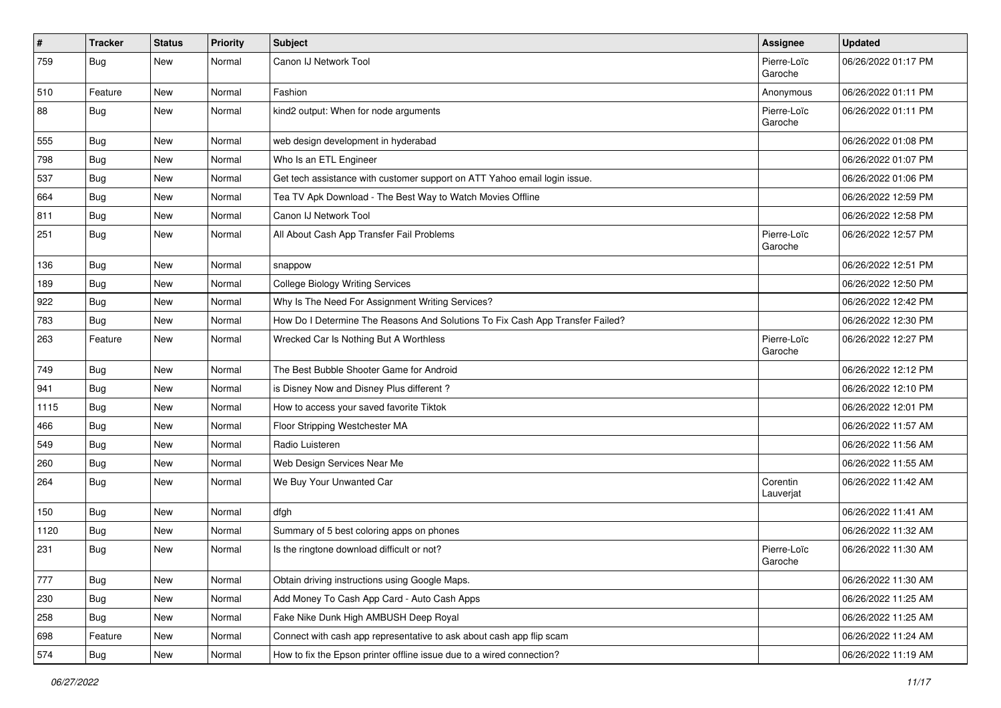| $\pmb{\#}$ | <b>Tracker</b> | <b>Status</b> | <b>Priority</b> | <b>Subject</b>                                                                | <b>Assignee</b>        | <b>Updated</b>      |
|------------|----------------|---------------|-----------------|-------------------------------------------------------------------------------|------------------------|---------------------|
| 759        | <b>Bug</b>     | New           | Normal          | Canon IJ Network Tool                                                         | Pierre-Loïc<br>Garoche | 06/26/2022 01:17 PM |
| 510        | Feature        | New           | Normal          | Fashion                                                                       | Anonymous              | 06/26/2022 01:11 PM |
| 88         | <b>Bug</b>     | New           | Normal          | kind2 output: When for node arguments                                         | Pierre-Loïc<br>Garoche | 06/26/2022 01:11 PM |
| 555        | <b>Bug</b>     | New           | Normal          | web design development in hyderabad                                           |                        | 06/26/2022 01:08 PM |
| 798        | <b>Bug</b>     | New           | Normal          | Who Is an ETL Engineer                                                        |                        | 06/26/2022 01:07 PM |
| 537        | <b>Bug</b>     | New           | Normal          | Get tech assistance with customer support on ATT Yahoo email login issue.     |                        | 06/26/2022 01:06 PM |
| 664        | Bug            | New           | Normal          | Tea TV Apk Download - The Best Way to Watch Movies Offline                    |                        | 06/26/2022 12:59 PM |
| 811        | Bug            | <b>New</b>    | Normal          | Canon IJ Network Tool                                                         |                        | 06/26/2022 12:58 PM |
| 251        | Bug            | New           | Normal          | All About Cash App Transfer Fail Problems                                     | Pierre-Loïc<br>Garoche | 06/26/2022 12:57 PM |
| 136        | <b>Bug</b>     | New           | Normal          | snappow                                                                       |                        | 06/26/2022 12:51 PM |
| 189        | Bug            | New           | Normal          | <b>College Biology Writing Services</b>                                       |                        | 06/26/2022 12:50 PM |
| 922        | Bug            | New           | Normal          | Why Is The Need For Assignment Writing Services?                              |                        | 06/26/2022 12:42 PM |
| 783        | Bug            | New           | Normal          | How Do I Determine The Reasons And Solutions To Fix Cash App Transfer Failed? |                        | 06/26/2022 12:30 PM |
| 263        | Feature        | New           | Normal          | Wrecked Car Is Nothing But A Worthless                                        | Pierre-Loïc<br>Garoche | 06/26/2022 12:27 PM |
| 749        | Bug            | New           | Normal          | The Best Bubble Shooter Game for Android                                      |                        | 06/26/2022 12:12 PM |
| 941        | <b>Bug</b>     | <b>New</b>    | Normal          | is Disney Now and Disney Plus different?                                      |                        | 06/26/2022 12:10 PM |
| 1115       | Bug            | New           | Normal          | How to access your saved favorite Tiktok                                      |                        | 06/26/2022 12:01 PM |
| 466        | <b>Bug</b>     | New           | Normal          | Floor Stripping Westchester MA                                                |                        | 06/26/2022 11:57 AM |
| 549        | <b>Bug</b>     | New           | Normal          | Radio Luisteren                                                               |                        | 06/26/2022 11:56 AM |
| 260        | Bug            | New           | Normal          | Web Design Services Near Me                                                   |                        | 06/26/2022 11:55 AM |
| 264        | <b>Bug</b>     | New           | Normal          | We Buy Your Unwanted Car                                                      | Corentin<br>Lauverjat  | 06/26/2022 11:42 AM |
| 150        | Bug            | New           | Normal          | dfgh                                                                          |                        | 06/26/2022 11:41 AM |
| 1120       | <b>Bug</b>     | New           | Normal          | Summary of 5 best coloring apps on phones                                     |                        | 06/26/2022 11:32 AM |
| 231        | <b>Bug</b>     | New           | Normal          | Is the ringtone download difficult or not?                                    | Pierre-Loïc<br>Garoche | 06/26/2022 11:30 AM |
| 777        | Bug            | New           | Normal          | Obtain driving instructions using Google Maps.                                |                        | 06/26/2022 11:30 AM |
| 230        | Bug            | New           | Normal          | Add Money To Cash App Card - Auto Cash Apps                                   |                        | 06/26/2022 11:25 AM |
| 258        | <b>Bug</b>     | New           | Normal          | Fake Nike Dunk High AMBUSH Deep Royal                                         |                        | 06/26/2022 11:25 AM |
| 698        | Feature        | New           | Normal          | Connect with cash app representative to ask about cash app flip scam          |                        | 06/26/2022 11:24 AM |
| 574        | Bug            | New           | Normal          | How to fix the Epson printer offline issue due to a wired connection?         |                        | 06/26/2022 11:19 AM |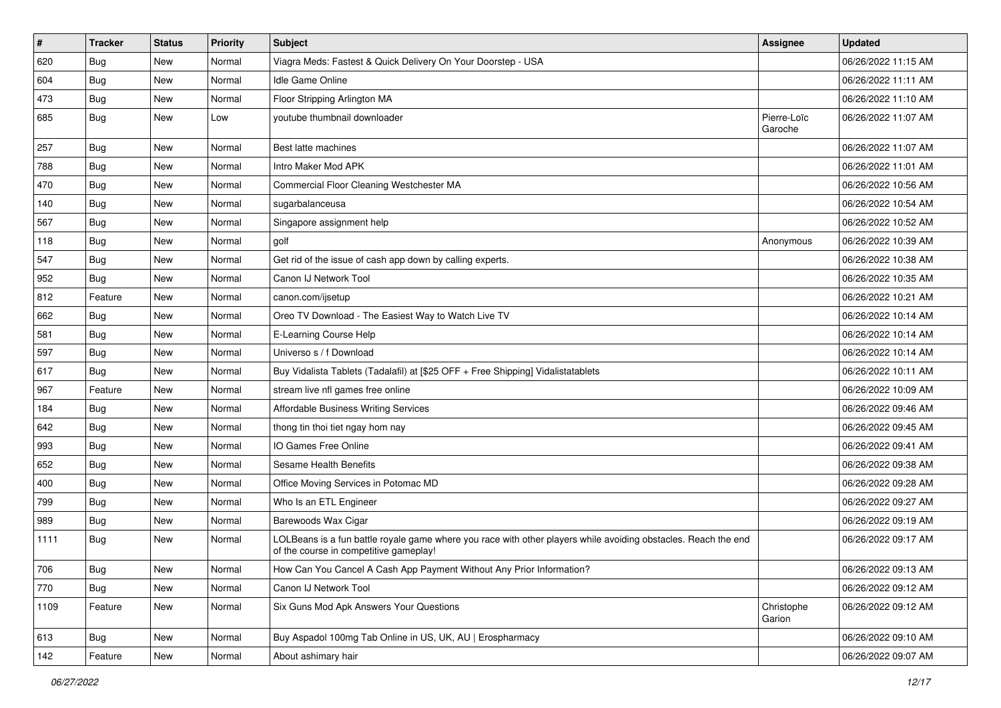| #    | <b>Tracker</b> | <b>Status</b> | Priority | Subject                                                                                                                                                  | <b>Assignee</b>        | <b>Updated</b>      |
|------|----------------|---------------|----------|----------------------------------------------------------------------------------------------------------------------------------------------------------|------------------------|---------------------|
| 620  | <b>Bug</b>     | New           | Normal   | Viagra Meds: Fastest & Quick Delivery On Your Doorstep - USA                                                                                             |                        | 06/26/2022 11:15 AM |
| 604  | Bug            | <b>New</b>    | Normal   | <b>Idle Game Online</b>                                                                                                                                  |                        | 06/26/2022 11:11 AM |
| 473  | <b>Bug</b>     | New           | Normal   | Floor Stripping Arlington MA                                                                                                                             |                        | 06/26/2022 11:10 AM |
| 685  | <b>Bug</b>     | New           | Low      | youtube thumbnail downloader                                                                                                                             | Pierre-Loïc<br>Garoche | 06/26/2022 11:07 AM |
| 257  | <b>Bug</b>     | New           | Normal   | Best latte machines                                                                                                                                      |                        | 06/26/2022 11:07 AM |
| 788  | Bug            | New           | Normal   | Intro Maker Mod APK                                                                                                                                      |                        | 06/26/2022 11:01 AM |
| 470  | Bug            | New           | Normal   | Commercial Floor Cleaning Westchester MA                                                                                                                 |                        | 06/26/2022 10:56 AM |
| 140  | <b>Bug</b>     | New           | Normal   | sugarbalanceusa                                                                                                                                          |                        | 06/26/2022 10:54 AM |
| 567  | Bug            | New           | Normal   | Singapore assignment help                                                                                                                                |                        | 06/26/2022 10:52 AM |
| 118  | <b>Bug</b>     | New           | Normal   | golf                                                                                                                                                     | Anonymous              | 06/26/2022 10:39 AM |
| 547  | <b>Bug</b>     | New           | Normal   | Get rid of the issue of cash app down by calling experts.                                                                                                |                        | 06/26/2022 10:38 AM |
| 952  | Bug            | <b>New</b>    | Normal   | Canon IJ Network Tool                                                                                                                                    |                        | 06/26/2022 10:35 AM |
| 812  | Feature        | New           | Normal   | canon.com/ijsetup                                                                                                                                        |                        | 06/26/2022 10:21 AM |
| 662  | <b>Bug</b>     | New           | Normal   | Oreo TV Download - The Easiest Way to Watch Live TV                                                                                                      |                        | 06/26/2022 10:14 AM |
| 581  | <b>Bug</b>     | New           | Normal   | E-Learning Course Help                                                                                                                                   |                        | 06/26/2022 10:14 AM |
| 597  | <b>Bug</b>     | New           | Normal   | Universo s / f Download                                                                                                                                  |                        | 06/26/2022 10:14 AM |
| 617  | Bug            | New           | Normal   | Buy Vidalista Tablets (Tadalafil) at [\$25 OFF + Free Shipping] Vidalistatablets                                                                         |                        | 06/26/2022 10:11 AM |
| 967  | Feature        | New           | Normal   | stream live nfl games free online                                                                                                                        |                        | 06/26/2022 10:09 AM |
| 184  | <b>Bug</b>     | New           | Normal   | Affordable Business Writing Services                                                                                                                     |                        | 06/26/2022 09:46 AM |
| 642  | <b>Bug</b>     | New           | Normal   | thong tin thoi tiet ngay hom nay                                                                                                                         |                        | 06/26/2022 09:45 AM |
| 993  | Bug            | New           | Normal   | IO Games Free Online                                                                                                                                     |                        | 06/26/2022 09:41 AM |
| 652  | <b>Bug</b>     | New           | Normal   | Sesame Health Benefits                                                                                                                                   |                        | 06/26/2022 09:38 AM |
| 400  | <b>Bug</b>     | New           | Normal   | Office Moving Services in Potomac MD                                                                                                                     |                        | 06/26/2022 09:28 AM |
| 799  | Bug            | New           | Normal   | Who Is an ETL Engineer                                                                                                                                   |                        | 06/26/2022 09:27 AM |
| 989  | Bug            | New           | Normal   | Barewoods Wax Cigar                                                                                                                                      |                        | 06/26/2022 09:19 AM |
| 1111 | Bug            | New           | Normal   | LOLBeans is a fun battle royale game where you race with other players while avoiding obstacles. Reach the end<br>of the course in competitive gameplay! |                        | 06/26/2022 09:17 AM |
| 706  | Bug            | New           | Normal   | How Can You Cancel A Cash App Payment Without Any Prior Information?                                                                                     |                        | 06/26/2022 09:13 AM |
| 770  | Bug            | New           | Normal   | Canon IJ Network Tool                                                                                                                                    |                        | 06/26/2022 09:12 AM |
| 1109 | Feature        | New           | Normal   | Six Guns Mod Apk Answers Your Questions                                                                                                                  | Christophe<br>Garion   | 06/26/2022 09:12 AM |
| 613  | Bug            | New           | Normal   | Buy Aspadol 100mg Tab Online in US, UK, AU   Erospharmacy                                                                                                |                        | 06/26/2022 09:10 AM |
| 142  | Feature        | New           | Normal   | About ashimary hair                                                                                                                                      |                        | 06/26/2022 09:07 AM |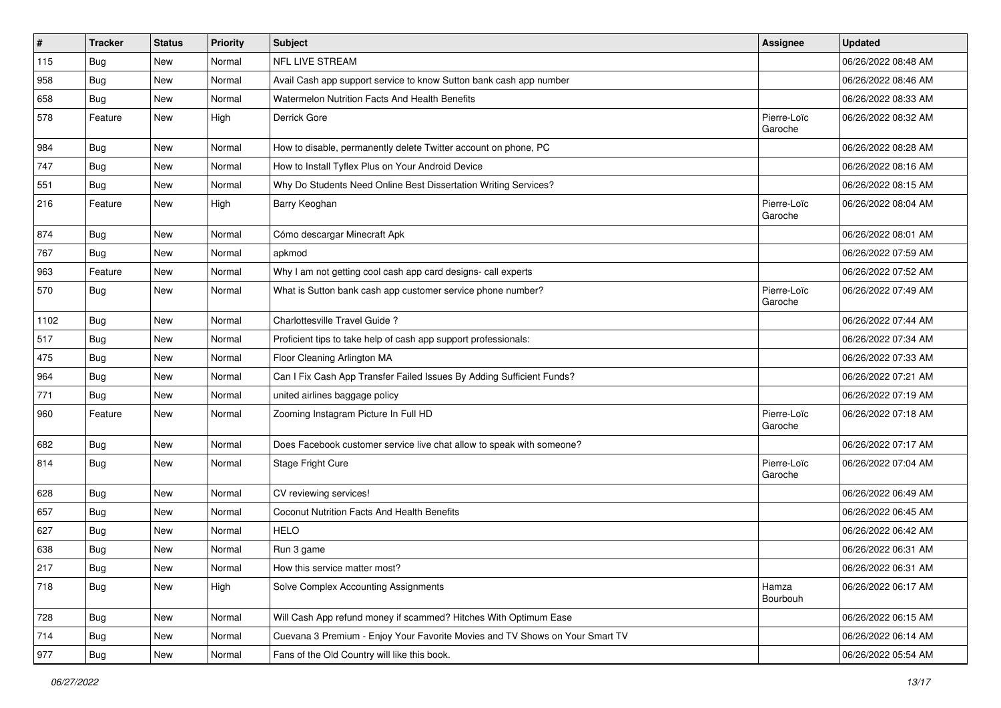| $\vert$ # | <b>Tracker</b> | <b>Status</b> | <b>Priority</b> | <b>Subject</b>                                                               | <b>Assignee</b>        | <b>Updated</b>      |
|-----------|----------------|---------------|-----------------|------------------------------------------------------------------------------|------------------------|---------------------|
| 115       | <b>Bug</b>     | New           | Normal          | NFL LIVE STREAM                                                              |                        | 06/26/2022 08:48 AM |
| 958       | Bug            | New           | Normal          | Avail Cash app support service to know Sutton bank cash app number           |                        | 06/26/2022 08:46 AM |
| 658       | <b>Bug</b>     | New           | Normal          | Watermelon Nutrition Facts And Health Benefits                               |                        | 06/26/2022 08:33 AM |
| 578       | Feature        | New           | High            | Derrick Gore                                                                 | Pierre-Loïc<br>Garoche | 06/26/2022 08:32 AM |
| 984       | Bug            | New           | Normal          | How to disable, permanently delete Twitter account on phone, PC              |                        | 06/26/2022 08:28 AM |
| 747       | Bug            | New           | Normal          | How to Install Tyflex Plus on Your Android Device                            |                        | 06/26/2022 08:16 AM |
| 551       | <b>Bug</b>     | New           | Normal          | Why Do Students Need Online Best Dissertation Writing Services?              |                        | 06/26/2022 08:15 AM |
| 216       | Feature        | New           | High            | Barry Keoghan                                                                | Pierre-Loïc<br>Garoche | 06/26/2022 08:04 AM |
| 874       | Bug            | New           | Normal          | Cómo descargar Minecraft Apk                                                 |                        | 06/26/2022 08:01 AM |
| 767       | Bug            | New           | Normal          | apkmod                                                                       |                        | 06/26/2022 07:59 AM |
| 963       | Feature        | New           | Normal          | Why I am not getting cool cash app card designs- call experts                |                        | 06/26/2022 07:52 AM |
| 570       | Bug            | New           | Normal          | What is Sutton bank cash app customer service phone number?                  | Pierre-Loïc<br>Garoche | 06/26/2022 07:49 AM |
| 1102      | Bug            | New           | Normal          | Charlottesville Travel Guide?                                                |                        | 06/26/2022 07:44 AM |
| 517       | <b>Bug</b>     | New           | Normal          | Proficient tips to take help of cash app support professionals:              |                        | 06/26/2022 07:34 AM |
| 475       | Bug            | New           | Normal          | Floor Cleaning Arlington MA                                                  |                        | 06/26/2022 07:33 AM |
| 964       | <b>Bug</b>     | New           | Normal          | Can I Fix Cash App Transfer Failed Issues By Adding Sufficient Funds?        |                        | 06/26/2022 07:21 AM |
| 771       | <b>Bug</b>     | New           | Normal          | united airlines baggage policy                                               |                        | 06/26/2022 07:19 AM |
| 960       | Feature        | <b>New</b>    | Normal          | Zooming Instagram Picture In Full HD                                         | Pierre-Loïc<br>Garoche | 06/26/2022 07:18 AM |
| 682       | Bug            | New           | Normal          | Does Facebook customer service live chat allow to speak with someone?        |                        | 06/26/2022 07:17 AM |
| 814       | Bug            | New           | Normal          | Stage Fright Cure                                                            | Pierre-Loïc<br>Garoche | 06/26/2022 07:04 AM |
| 628       | Bug            | New           | Normal          | CV reviewing services!                                                       |                        | 06/26/2022 06:49 AM |
| 657       | <b>Bug</b>     | New           | Normal          | <b>Coconut Nutrition Facts And Health Benefits</b>                           |                        | 06/26/2022 06:45 AM |
| 627       | <b>Bug</b>     | New           | Normal          | <b>HELO</b>                                                                  |                        | 06/26/2022 06:42 AM |
| 638       | Bug            | New           | Normal          | Run 3 game                                                                   |                        | 06/26/2022 06:31 AM |
| 217       | Bug            | New           | Normal          | How this service matter most?                                                |                        | 06/26/2022 06:31 AM |
| 718       | Bug            | New           | High            | Solve Complex Accounting Assignments                                         | Hamza<br>Bourbouh      | 06/26/2022 06:17 AM |
| 728       | Bug            | New           | Normal          | Will Cash App refund money if scammed? Hitches With Optimum Ease             |                        | 06/26/2022 06:15 AM |
| 714       | <b>Bug</b>     | New           | Normal          | Cuevana 3 Premium - Enjoy Your Favorite Movies and TV Shows on Your Smart TV |                        | 06/26/2022 06:14 AM |
| 977       | Bug            | New           | Normal          | Fans of the Old Country will like this book.                                 |                        | 06/26/2022 05:54 AM |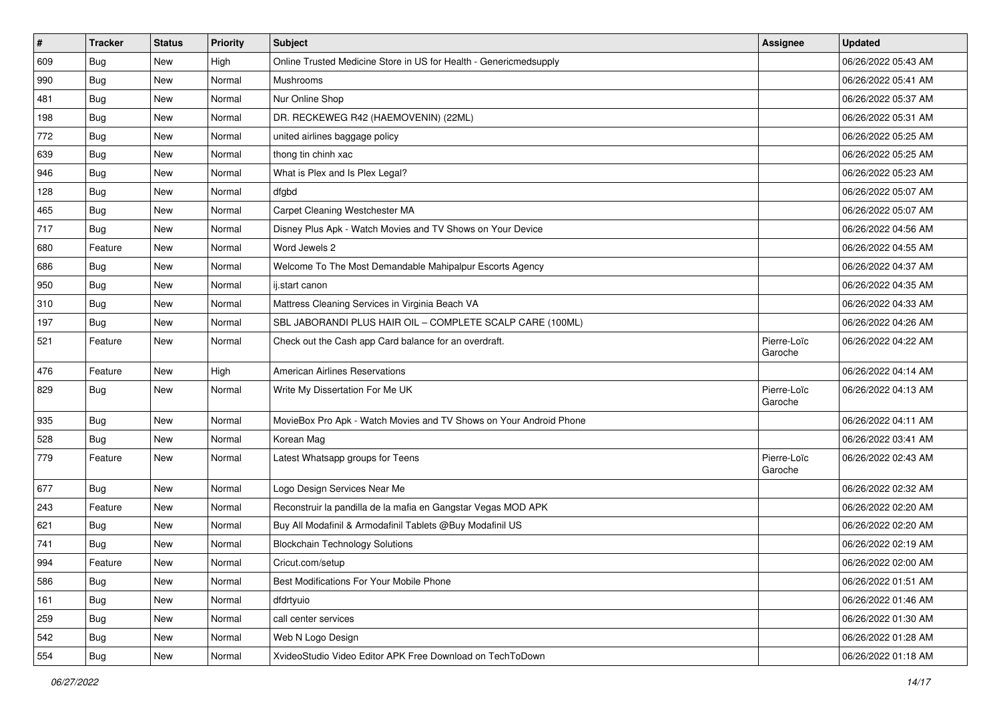| $\vert$ # | <b>Tracker</b> | <b>Status</b> | <b>Priority</b> | <b>Subject</b>                                                     | Assignee               | <b>Updated</b>      |
|-----------|----------------|---------------|-----------------|--------------------------------------------------------------------|------------------------|---------------------|
| 609       | <b>Bug</b>     | New           | High            | Online Trusted Medicine Store in US for Health - Genericmedsupply  |                        | 06/26/2022 05:43 AM |
| 990       | <b>Bug</b>     | New           | Normal          | Mushrooms                                                          |                        | 06/26/2022 05:41 AM |
| 481       | <b>Bug</b>     | New           | Normal          | Nur Online Shop                                                    |                        | 06/26/2022 05:37 AM |
| 198       | <b>Bug</b>     | New           | Normal          | DR. RECKEWEG R42 (HAEMOVENIN) (22ML)                               |                        | 06/26/2022 05:31 AM |
| 772       | <b>Bug</b>     | New           | Normal          | united airlines baggage policy                                     |                        | 06/26/2022 05:25 AM |
| 639       | <b>Bug</b>     | New           | Normal          | thong tin chinh xac                                                |                        | 06/26/2022 05:25 AM |
| 946       | <b>Bug</b>     | New           | Normal          | What is Plex and Is Plex Legal?                                    |                        | 06/26/2022 05:23 AM |
| 128       | <b>Bug</b>     | New           | Normal          | dfgbd                                                              |                        | 06/26/2022 05:07 AM |
| 465       | <b>Bug</b>     | New           | Normal          | Carpet Cleaning Westchester MA                                     |                        | 06/26/2022 05:07 AM |
| 717       | <b>Bug</b>     | New           | Normal          | Disney Plus Apk - Watch Movies and TV Shows on Your Device         |                        | 06/26/2022 04:56 AM |
| 680       | Feature        | New           | Normal          | Word Jewels 2                                                      |                        | 06/26/2022 04:55 AM |
| 686       | <b>Bug</b>     | New           | Normal          | Welcome To The Most Demandable Mahipalpur Escorts Agency           |                        | 06/26/2022 04:37 AM |
| 950       | Bug            | New           | Normal          | ij.start canon                                                     |                        | 06/26/2022 04:35 AM |
| 310       | <b>Bug</b>     | New           | Normal          | Mattress Cleaning Services in Virginia Beach VA                    |                        | 06/26/2022 04:33 AM |
| 197       | <b>Bug</b>     | New           | Normal          | SBL JABORANDI PLUS HAIR OIL - COMPLETE SCALP CARE (100ML)          |                        | 06/26/2022 04:26 AM |
| 521       | Feature        | New           | Normal          | Check out the Cash app Card balance for an overdraft.              | Pierre-Loïc<br>Garoche | 06/26/2022 04:22 AM |
| 476       | Feature        | New           | High            | <b>American Airlines Reservations</b>                              |                        | 06/26/2022 04:14 AM |
| 829       | Bug            | New           | Normal          | Write My Dissertation For Me UK                                    | Pierre-Loïc<br>Garoche | 06/26/2022 04:13 AM |
| 935       | Bug            | New           | Normal          | MovieBox Pro Apk - Watch Movies and TV Shows on Your Android Phone |                        | 06/26/2022 04:11 AM |
| 528       | Bug            | New           | Normal          | Korean Mag                                                         |                        | 06/26/2022 03:41 AM |
| 779       | Feature        | New           | Normal          | Latest Whatsapp groups for Teens                                   | Pierre-Loïc<br>Garoche | 06/26/2022 02:43 AM |
| 677       | <b>Bug</b>     | New           | Normal          | Logo Design Services Near Me                                       |                        | 06/26/2022 02:32 AM |
| 243       | Feature        | New           | Normal          | Reconstruir la pandilla de la mafia en Gangstar Vegas MOD APK      |                        | 06/26/2022 02:20 AM |
| 621       | <b>Bug</b>     | New           | Normal          | Buy All Modafinil & Armodafinil Tablets @Buy Modafinil US          |                        | 06/26/2022 02:20 AM |
| 741       | <b>Bug</b>     | New           | Normal          | <b>Blockchain Technology Solutions</b>                             |                        | 06/26/2022 02:19 AM |
| 994       | Feature        | New           | Normal          | Cricut.com/setup                                                   |                        | 06/26/2022 02:00 AM |
| 586       | <b>Bug</b>     | New           | Normal          | Best Modifications For Your Mobile Phone                           |                        | 06/26/2022 01:51 AM |
| 161       | <b>Bug</b>     | New           | Normal          | dfdrtyuio                                                          |                        | 06/26/2022 01:46 AM |
| 259       | Bug            | New           | Normal          | call center services                                               |                        | 06/26/2022 01:30 AM |
| 542       | <b>Bug</b>     | New           | Normal          | Web N Logo Design                                                  |                        | 06/26/2022 01:28 AM |
| 554       | <b>Bug</b>     | New           | Normal          | XvideoStudio Video Editor APK Free Download on TechToDown          |                        | 06/26/2022 01:18 AM |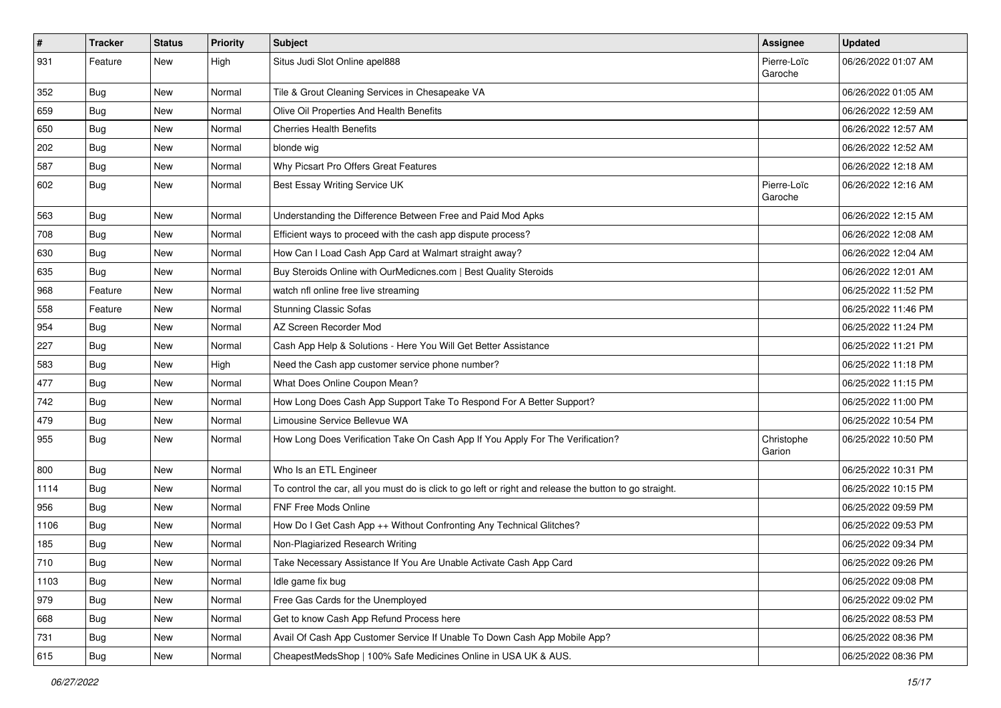| $\vert$ # | <b>Tracker</b> | <b>Status</b> | Priority | Subject                                                                                                 | <b>Assignee</b>        | <b>Updated</b>      |
|-----------|----------------|---------------|----------|---------------------------------------------------------------------------------------------------------|------------------------|---------------------|
| 931       | Feature        | New           | High     | Situs Judi Slot Online apel888                                                                          | Pierre-Loïc<br>Garoche | 06/26/2022 01:07 AM |
| 352       | <b>Bug</b>     | New           | Normal   | Tile & Grout Cleaning Services in Chesapeake VA                                                         |                        | 06/26/2022 01:05 AM |
| 659       | <b>Bug</b>     | New           | Normal   | Olive Oil Properties And Health Benefits                                                                |                        | 06/26/2022 12:59 AM |
| 650       | Bug            | New           | Normal   | <b>Cherries Health Benefits</b>                                                                         |                        | 06/26/2022 12:57 AM |
| 202       | Bug            | New           | Normal   | blonde wig                                                                                              |                        | 06/26/2022 12:52 AM |
| 587       | Bug            | New           | Normal   | Why Picsart Pro Offers Great Features                                                                   |                        | 06/26/2022 12:18 AM |
| 602       | Bug            | New           | Normal   | Best Essay Writing Service UK                                                                           | Pierre-Loïc<br>Garoche | 06/26/2022 12:16 AM |
| 563       | Bug            | New           | Normal   | Understanding the Difference Between Free and Paid Mod Apks                                             |                        | 06/26/2022 12:15 AM |
| 708       | <b>Bug</b>     | New           | Normal   | Efficient ways to proceed with the cash app dispute process?                                            |                        | 06/26/2022 12:08 AM |
| 630       | Bug            | New           | Normal   | How Can I Load Cash App Card at Walmart straight away?                                                  |                        | 06/26/2022 12:04 AM |
| 635       | <b>Bug</b>     | New           | Normal   | Buy Steroids Online with OurMedicnes.com   Best Quality Steroids                                        |                        | 06/26/2022 12:01 AM |
| 968       | Feature        | New           | Normal   | watch nfl online free live streaming                                                                    |                        | 06/25/2022 11:52 PM |
| 558       | Feature        | New           | Normal   | <b>Stunning Classic Sofas</b>                                                                           |                        | 06/25/2022 11:46 PM |
| 954       | Bug            | New           | Normal   | AZ Screen Recorder Mod                                                                                  |                        | 06/25/2022 11:24 PM |
| 227       | <b>Bug</b>     | New           | Normal   | Cash App Help & Solutions - Here You Will Get Better Assistance                                         |                        | 06/25/2022 11:21 PM |
| 583       | Bug            | New           | High     | Need the Cash app customer service phone number?                                                        |                        | 06/25/2022 11:18 PM |
| 477       | Bug            | New           | Normal   | What Does Online Coupon Mean?                                                                           |                        | 06/25/2022 11:15 PM |
| 742       | <b>Bug</b>     | New           | Normal   | How Long Does Cash App Support Take To Respond For A Better Support?                                    |                        | 06/25/2022 11:00 PM |
| 479       | Bug            | New           | Normal   | Limousine Service Bellevue WA                                                                           |                        | 06/25/2022 10:54 PM |
| 955       | <b>Bug</b>     | New           | Normal   | How Long Does Verification Take On Cash App If You Apply For The Verification?                          | Christophe<br>Garion   | 06/25/2022 10:50 PM |
| 800       | Bug            | New           | Normal   | Who Is an ETL Engineer                                                                                  |                        | 06/25/2022 10:31 PM |
| 1114      | <b>Bug</b>     | New           | Normal   | To control the car, all you must do is click to go left or right and release the button to go straight. |                        | 06/25/2022 10:15 PM |
| 956       | Bug            | New           | Normal   | <b>FNF Free Mods Online</b>                                                                             |                        | 06/25/2022 09:59 PM |
| 1106      | <b>Bug</b>     | New           | Normal   | How Do I Get Cash App ++ Without Confronting Any Technical Glitches?                                    |                        | 06/25/2022 09:53 PM |
| 185       | <b>Bug</b>     | New           | Normal   | Non-Plagiarized Research Writing                                                                        |                        | 06/25/2022 09:34 PM |
| 710       | Bug            | New           | Normal   | Take Necessary Assistance If You Are Unable Activate Cash App Card                                      |                        | 06/25/2022 09:26 PM |
| 1103      | <b>Bug</b>     | New           | Normal   | Idle game fix bug                                                                                       |                        | 06/25/2022 09:08 PM |
| 979       | Bug            | New           | Normal   | Free Gas Cards for the Unemployed                                                                       |                        | 06/25/2022 09:02 PM |
| 668       | <b>Bug</b>     | New           | Normal   | Get to know Cash App Refund Process here                                                                |                        | 06/25/2022 08:53 PM |
| 731       | <b>Bug</b>     | New           | Normal   | Avail Of Cash App Customer Service If Unable To Down Cash App Mobile App?                               |                        | 06/25/2022 08:36 PM |
| 615       | Bug            | New           | Normal   | CheapestMedsShop   100% Safe Medicines Online in USA UK & AUS.                                          |                        | 06/25/2022 08:36 PM |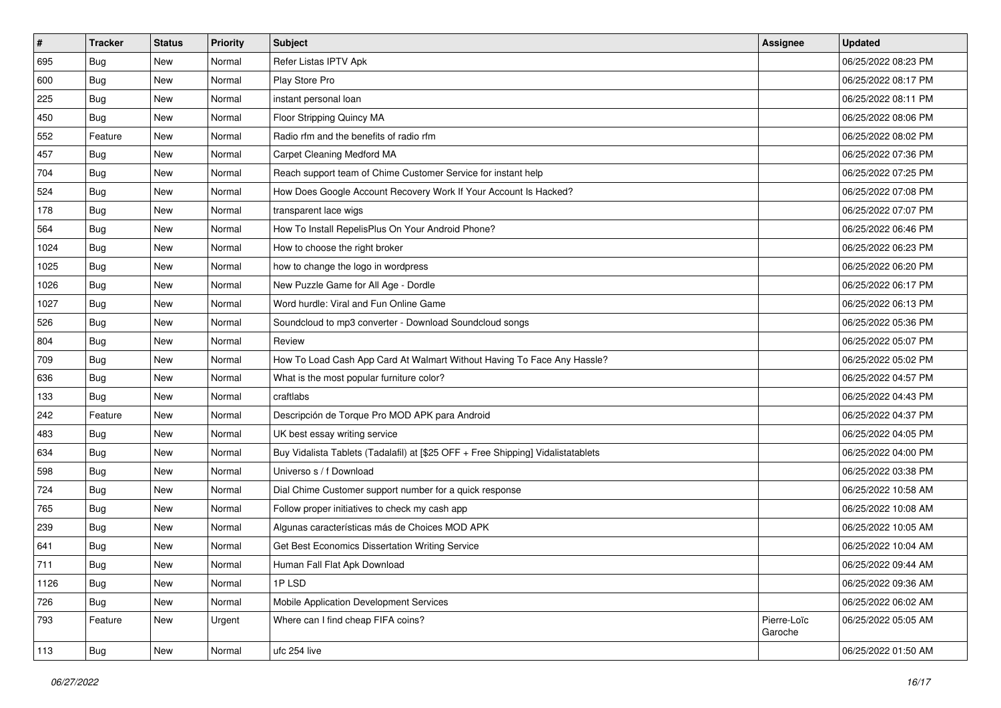| $\sharp$ | <b>Tracker</b> | <b>Status</b> | <b>Priority</b> | Subject                                                                          | <b>Assignee</b>        | <b>Updated</b>      |
|----------|----------------|---------------|-----------------|----------------------------------------------------------------------------------|------------------------|---------------------|
| 695      | Bug            | New           | Normal          | Refer Listas IPTV Apk                                                            |                        | 06/25/2022 08:23 PM |
| 600      | Bug            | New           | Normal          | Play Store Pro                                                                   |                        | 06/25/2022 08:17 PM |
| 225      | <b>Bug</b>     | New           | Normal          | instant personal loan                                                            |                        | 06/25/2022 08:11 PM |
| 450      | Bug            | New           | Normal          | Floor Stripping Quincy MA                                                        |                        | 06/25/2022 08:06 PM |
| 552      | Feature        | New           | Normal          | Radio rfm and the benefits of radio rfm                                          |                        | 06/25/2022 08:02 PM |
| 457      | <b>Bug</b>     | New           | Normal          | Carpet Cleaning Medford MA                                                       |                        | 06/25/2022 07:36 PM |
| 704      | Bug            | New           | Normal          | Reach support team of Chime Customer Service for instant help                    |                        | 06/25/2022 07:25 PM |
| 524      | <b>Bug</b>     | New           | Normal          | How Does Google Account Recovery Work If Your Account Is Hacked?                 |                        | 06/25/2022 07:08 PM |
| 178      | Bug            | New           | Normal          | transparent lace wigs                                                            |                        | 06/25/2022 07:07 PM |
| 564      | Bug            | New           | Normal          | How To Install RepelisPlus On Your Android Phone?                                |                        | 06/25/2022 06:46 PM |
| 1024     | <b>Bug</b>     | New           | Normal          | How to choose the right broker                                                   |                        | 06/25/2022 06:23 PM |
| 1025     | Bug            | New           | Normal          | how to change the logo in wordpress                                              |                        | 06/25/2022 06:20 PM |
| 1026     | <b>Bug</b>     | New           | Normal          | New Puzzle Game for All Age - Dordle                                             |                        | 06/25/2022 06:17 PM |
| 1027     | <b>Bug</b>     | New           | Normal          | Word hurdle: Viral and Fun Online Game                                           |                        | 06/25/2022 06:13 PM |
| 526      | Bug            | New           | Normal          | Soundcloud to mp3 converter - Download Soundcloud songs                          |                        | 06/25/2022 05:36 PM |
| 804      | <b>Bug</b>     | New           | Normal          | Review                                                                           |                        | 06/25/2022 05:07 PM |
| 709      | Bug            | New           | Normal          | How To Load Cash App Card At Walmart Without Having To Face Any Hassle?          |                        | 06/25/2022 05:02 PM |
| 636      | Bug            | New           | Normal          | What is the most popular furniture color?                                        |                        | 06/25/2022 04:57 PM |
| 133      | Bug            | New           | Normal          | craftlabs                                                                        |                        | 06/25/2022 04:43 PM |
| 242      | Feature        | New           | Normal          | Descripción de Torque Pro MOD APK para Android                                   |                        | 06/25/2022 04:37 PM |
| 483      | Bug            | New           | Normal          | UK best essay writing service                                                    |                        | 06/25/2022 04:05 PM |
| 634      | Bug            | New           | Normal          | Buy Vidalista Tablets (Tadalafil) at [\$25 OFF + Free Shipping] Vidalistatablets |                        | 06/25/2022 04:00 PM |
| 598      | Bug            | New           | Normal          | Universo s / f Download                                                          |                        | 06/25/2022 03:38 PM |
| 724      | <b>Bug</b>     | New           | Normal          | Dial Chime Customer support number for a quick response                          |                        | 06/25/2022 10:58 AM |
| 765      | <b>Bug</b>     | New           | Normal          | Follow proper initiatives to check my cash app                                   |                        | 06/25/2022 10:08 AM |
| 239      | Bug            | New           | Normal          | Algunas características más de Choices MOD APK                                   |                        | 06/25/2022 10:05 AM |
| 641      | <b>Bug</b>     | New           | Normal          | Get Best Economics Dissertation Writing Service                                  |                        | 06/25/2022 10:04 AM |
| 711      | Bug            | New           | Normal          | Human Fall Flat Apk Download                                                     |                        | 06/25/2022 09:44 AM |
| 1126     | <b>Bug</b>     | New           | Normal          | 1PLSD                                                                            |                        | 06/25/2022 09:36 AM |
| 726      | <b>Bug</b>     | New           | Normal          | Mobile Application Development Services                                          |                        | 06/25/2022 06:02 AM |
| 793      | Feature        | New           | Urgent          | Where can I find cheap FIFA coins?                                               | Pierre-Loïc<br>Garoche | 06/25/2022 05:05 AM |
| 113      | <b>Bug</b>     | New           | Normal          | ufc 254 live                                                                     |                        | 06/25/2022 01:50 AM |